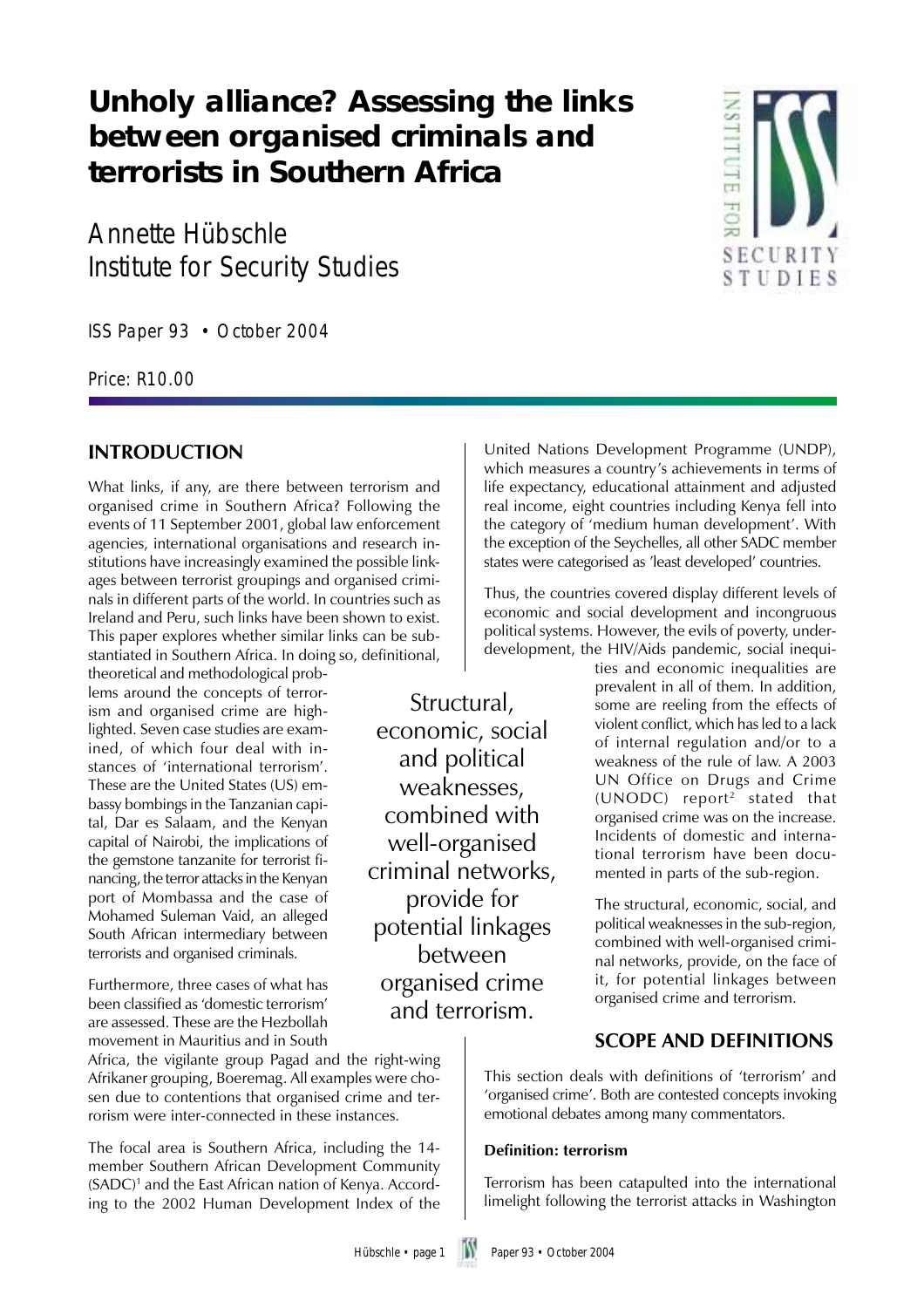## **Unholy alliance? Assessing the links between organised criminals and terrorists in Southern Africa**

Annette Hübschle Institute for Security Studies

ISS Paper 93 • October 2004

Price: R10.00

## **INTRODUCTION**

What links, if any, are there between terrorism and organised crime in Southern Africa? Following the events of 11 September 2001, global law enforcement agencies, international organisations and research institutions have increasingly examined the possible linkages between terrorist groupings and organised criminals in different parts of the world. In countries such as Ireland and Peru, such links have been shown to exist. This paper explores whether similar links can be substantiated in Southern Africa. In doing so, definitional,

theoretical and methodological problems around the concepts of terrorism and organised crime are highlighted. Seven case studies are examined, of which four deal with instances of 'international terrorism'. These are the United States (US) embassy bombings in the Tanzanian capital, Dar es Salaam, and the Kenyan capital of Nairobi, the implications of the gemstone tanzanite for terrorist financing, the terror attacks in the Kenyan port of Mombassa and the case of Mohamed Suleman Vaid, an alleged South African intermediary between terrorists and organised criminals.

Furthermore, three cases of what has been classified as 'domestic terrorism' are assessed. These are the Hezbollah movement in Mauritius and in South

Africa, the vigilante group Pagad and the right-wing Afrikaner grouping, Boeremag. All examples were chosen due to contentions that organised crime and terrorism were inter-connected in these instances.

The focal area is Southern Africa, including the 14 member Southern African Development Community (SADC)1 and the East African nation of Kenya. According to the 2002 Human Development Index of the

Structural, economic, social and political weaknesses, combined with well-organised criminal networks, provide for potential linkages between organised crime and terrorism.

United Nations Development Programme (UNDP), which measures a country's achievements in terms of life expectancy, educational attainment and adjusted real income, eight countries including Kenya fell into the category of 'medium human development'. With the exception of the Seychelles, all other SADC member states were categorised as 'least developed' countries.

Thus, the countries covered display different levels of economic and social development and incongruous political systems. However, the evils of poverty, underdevelopment, the HIV/Aids pandemic, social inequi-

> ties and economic inequalities are prevalent in all of them. In addition, some are reeling from the effects of violent conflict, which has led to a lack of internal regulation and/or to a weakness of the rule of law. A 2003 UN Office on Drugs and Crime (UNODC) report2 stated that organised crime was on the increase. Incidents of domestic and international terrorism have been documented in parts of the sub-region.

> The structural, economic, social, and political weaknesses in the sub-region, combined with well-organised criminal networks, provide, on the face of it, for potential linkages between organised crime and terrorism.

### **SCOPE AND DEFINITIONS**

This section deals with definitions of 'terrorism' and 'organised crime'. Both are contested concepts invoking emotional debates among many commentators.

#### **Definition: terrorism**

Terrorism has been catapulted into the international limelight following the terrorist attacks in Washington

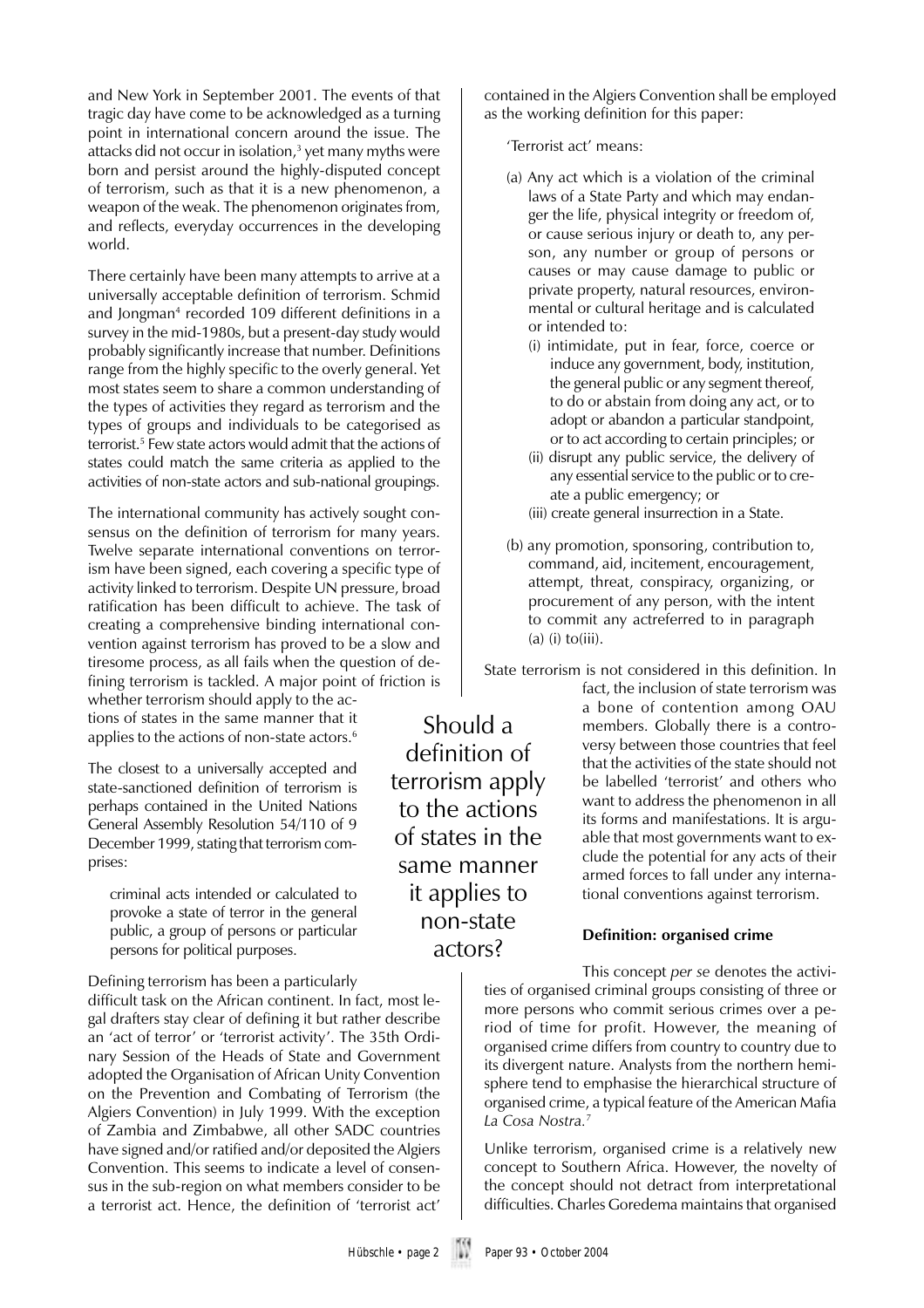and New York in September 2001. The events of that tragic day have come to be acknowledged as a turning point in international concern around the issue. The attacks did not occur in isolation,<sup>3</sup> yet many myths were born and persist around the highly-disputed concept of terrorism, such as that it is a new phenomenon, a weapon of the weak. The phenomenon originates from, and reflects, everyday occurrences in the developing world.

There certainly have been many attempts to arrive at a universally acceptable definition of terrorism. Schmid and Jongman<sup>4</sup> recorded 109 different definitions in a survey in the mid-1980s, but a present-day study would probably significantly increase that number. Definitions range from the highly specific to the overly general. Yet most states seem to share a common understanding of the types of activities they regard as terrorism and the types of groups and individuals to be categorised as terrorist.5 Few state actors would admit that the actions of states could match the same criteria as applied to the activities of non-state actors and sub-national groupings.

The international community has actively sought consensus on the definition of terrorism for many years. Twelve separate international conventions on terrorism have been signed, each covering a specific type of activity linked to terrorism. Despite UN pressure, broad ratification has been difficult to achieve. The task of creating a comprehensive binding international convention against terrorism has proved to be a slow and tiresome process, as all fails when the question of defining terrorism is tackled. A major point of friction is

whether terrorism should apply to the actions of states in the same manner that it applies to the actions of non-state actors.<sup>6</sup>

The closest to a universally accepted and state-sanctioned definition of terrorism is perhaps contained in the United Nations General Assembly Resolution 54/110 of 9 December 1999, stating that terrorism comprises:

criminal acts intended or calculated to provoke a state of terror in the general public, a group of persons or particular persons for political purposes.

Defining terrorism has been a particularly

difficult task on the African continent. In fact, most legal drafters stay clear of defining it but rather describe an 'act of terror' or 'terrorist activity'. The 35th Ordinary Session of the Heads of State and Government adopted the Organisation of African Unity Convention on the Prevention and Combating of Terrorism (the Algiers Convention) in July 1999. With the exception of Zambia and Zimbabwe, all other SADC countries have signed and/or ratified and/or deposited the Algiers Convention. This seems to indicate a level of consensus in the sub-region on what members consider to be a terrorist act. Hence, the definition of 'terrorist act'

contained in the Algiers Convention shall be employed as the working definition for this paper:

'Terrorist act' means:

- (a) Any act which is a violation of the criminal laws of a State Party and which may endanger the life, physical integrity or freedom of, or cause serious injury or death to, any person, any number or group of persons or causes or may cause damage to public or private property, natural resources, environmental or cultural heritage and is calculated or intended to:
	- (i) intimidate, put in fear, force, coerce or induce any government, body, institution, the general public or any segment thereof, to do or abstain from doing any act, or to adopt or abandon a particular standpoint, or to act according to certain principles; or
	- (ii) disrupt any public service, the delivery of any essential service to the public or to create a public emergency; or
	- (iii) create general insurrection in a State.
- (b) any promotion, sponsoring, contribution to, command, aid, incitement, encouragement, attempt, threat, conspiracy, organizing, or procurement of any person, with the intent to commit any actreferred to in paragraph  $(a)$  (i) to(iii).

State terrorism is not considered in this definition. In

fact, the inclusion of state terrorism was a bone of contention among OAU members. Globally there is a controversy between those countries that feel that the activities of the state should not be labelled 'terrorist' and others who want to address the phenomenon in all its forms and manifestations. It is arguable that most governments want to exclude the potential for any acts of their armed forces to fall under any international conventions against terrorism.

#### **Definition: organised crime**

This concept *per se* denotes the activities of organised criminal groups consisting of three or more persons who commit serious crimes over a period of time for profit. However, the meaning of organised crime differs from country to country due to its divergent nature. Analysts from the northern hemisphere tend to emphasise the hierarchical structure of organised crime, a typical feature of the American Mafia *La Cosa Nostra.*<sup>7</sup>

Unlike terrorism, organised crime is a relatively new concept to Southern Africa. However, the novelty of the concept should not detract from interpretational difficulties. Charles Goredema maintains that organised

terrorism apply to the actions of states in the same manner it applies to non-state actors?

Should a definition of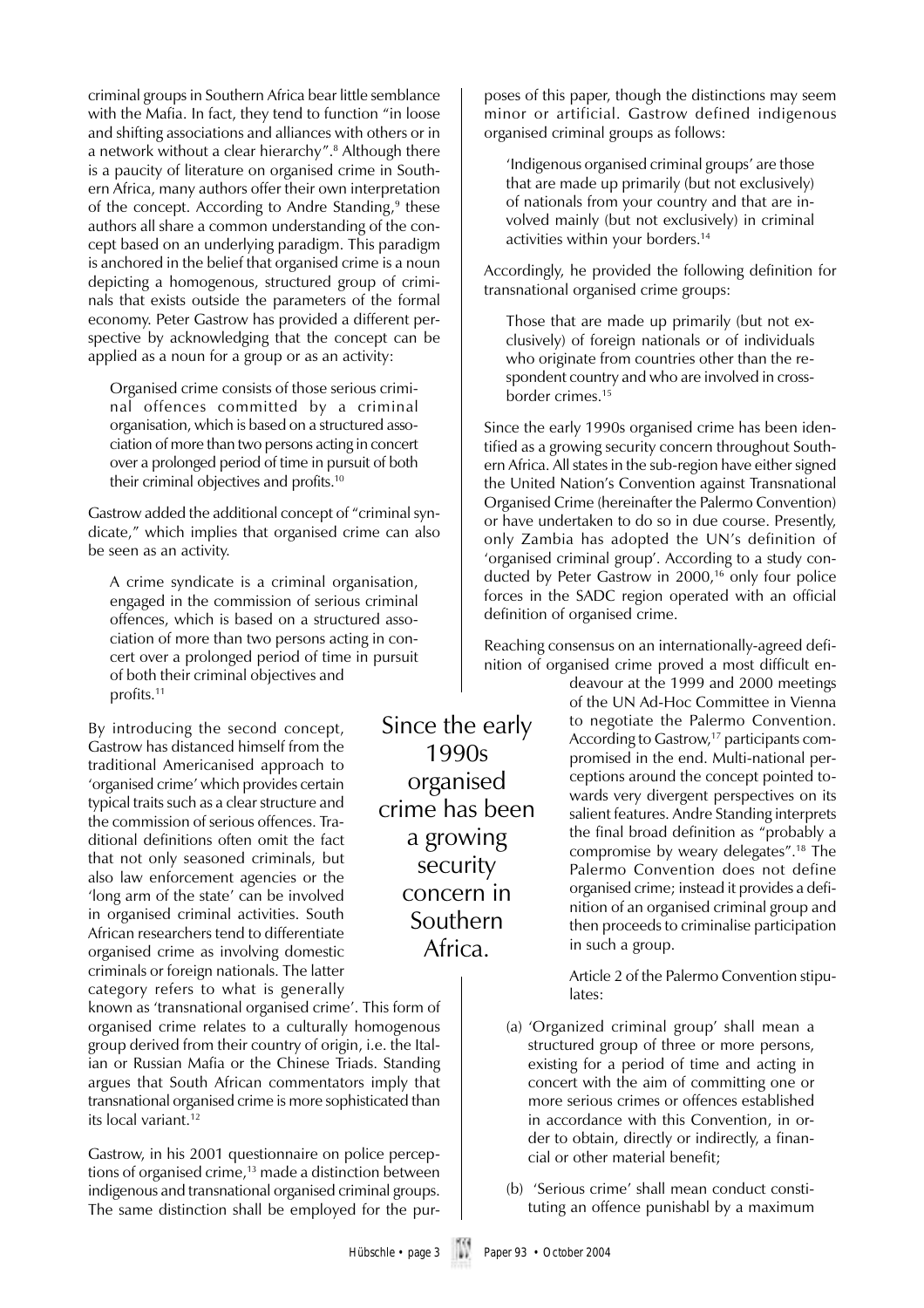criminal groups in Southern Africa bear little semblance with the Mafia. In fact, they tend to function "in loose and shifting associations and alliances with others or in a network without a clear hierarchy".<sup>8</sup> Although there is a paucity of literature on organised crime in Southern Africa, many authors offer their own interpretation of the concept. According to Andre Standing,<sup>9</sup> these authors all share a common understanding of the concept based on an underlying paradigm. This paradigm is anchored in the belief that organised crime is a noun depicting a homogenous, structured group of criminals that exists outside the parameters of the formal economy. Peter Gastrow has provided a different perspective by acknowledging that the concept can be applied as a noun for a group or as an activity:

Organised crime consists of those serious criminal offences committed by a criminal organisation, which is based on a structured association of more than two persons acting in concert over a prolonged period of time in pursuit of both their criminal objectives and profits.10

Gastrow added the additional concept of "criminal syndicate," which implies that organised crime can also be seen as an activity.

A crime syndicate is a criminal organisation, engaged in the commission of serious criminal offences, which is based on a structured association of more than two persons acting in concert over a prolonged period of time in pursuit of both their criminal objectives and profits.<sup>11</sup>

By introducing the second concept, Gastrow has distanced himself from the traditional Americanised approach to 'organised crime' which provides certain typical traits such as a clear structure and the commission of serious offences. Traditional definitions often omit the fact that not only seasoned criminals, but also law enforcement agencies or the 'long arm of the state' can be involved in organised criminal activities. South African researchers tend to differentiate organised crime as involving domestic criminals or foreign nationals. The latter category refers to what is generally

known as 'transnational organised crime'. This form of organised crime relates to a culturally homogenous group derived from their country of origin, i.e. the Italian or Russian Mafia or the Chinese Triads. Standing argues that South African commentators imply that transnational organised crime is more sophisticated than its local variant.<sup>12</sup>

Gastrow, in his 2001 questionnaire on police perceptions of organised crime, $13$  made a distinction between indigenous and transnational organised criminal groups. The same distinction shall be employed for the pur-

Since the early 1990s organised crime has been a growing security concern in Southern Africa.

poses of this paper, though the distinctions may seem minor or artificial. Gastrow defined indigenous organised criminal groups as follows:

'Indigenous organised criminal groups' are those that are made up primarily (but not exclusively) of nationals from your country and that are involved mainly (but not exclusively) in criminal activities within your borders.14

Accordingly, he provided the following definition for transnational organised crime groups:

Those that are made up primarily (but not exclusively) of foreign nationals or of individuals who originate from countries other than the respondent country and who are involved in crossborder crimes.<sup>15</sup>

Since the early 1990s organised crime has been identified as a growing security concern throughout Southern Africa. All states in the sub-region have either signed the United Nation's Convention against Transnational Organised Crime (hereinafter the Palermo Convention) or have undertaken to do so in due course. Presently, only Zambia has adopted the UN's definition of 'organised criminal group'. According to a study conducted by Peter Gastrow in 2000,<sup>16</sup> only four police forces in the SADC region operated with an official definition of organised crime.

Reaching consensus on an internationally-agreed definition of organised crime proved a most difficult en-

> deavour at the 1999 and 2000 meetings of the UN Ad-Hoc Committee in Vienna to negotiate the Palermo Convention. According to Gastrow,<sup>17</sup> participants compromised in the end. Multi-national perceptions around the concept pointed towards very divergent perspectives on its salient features. Andre Standing interprets the final broad definition as "probably a compromise by weary delegates".18 The Palermo Convention does not define organised crime; instead it provides a definition of an organised criminal group and then proceeds to criminalise participation in such a group.

Article 2 of the Palermo Convention stipulates:

- (a) 'Organized criminal group' shall mean a structured group of three or more persons, existing for a period of time and acting in concert with the aim of committing one or more serious crimes or offences established in accordance with this Convention, in order to obtain, directly or indirectly, a financial or other material benefit;
- (b) 'Serious crime' shall mean conduct constituting an offence punishabl by a maximum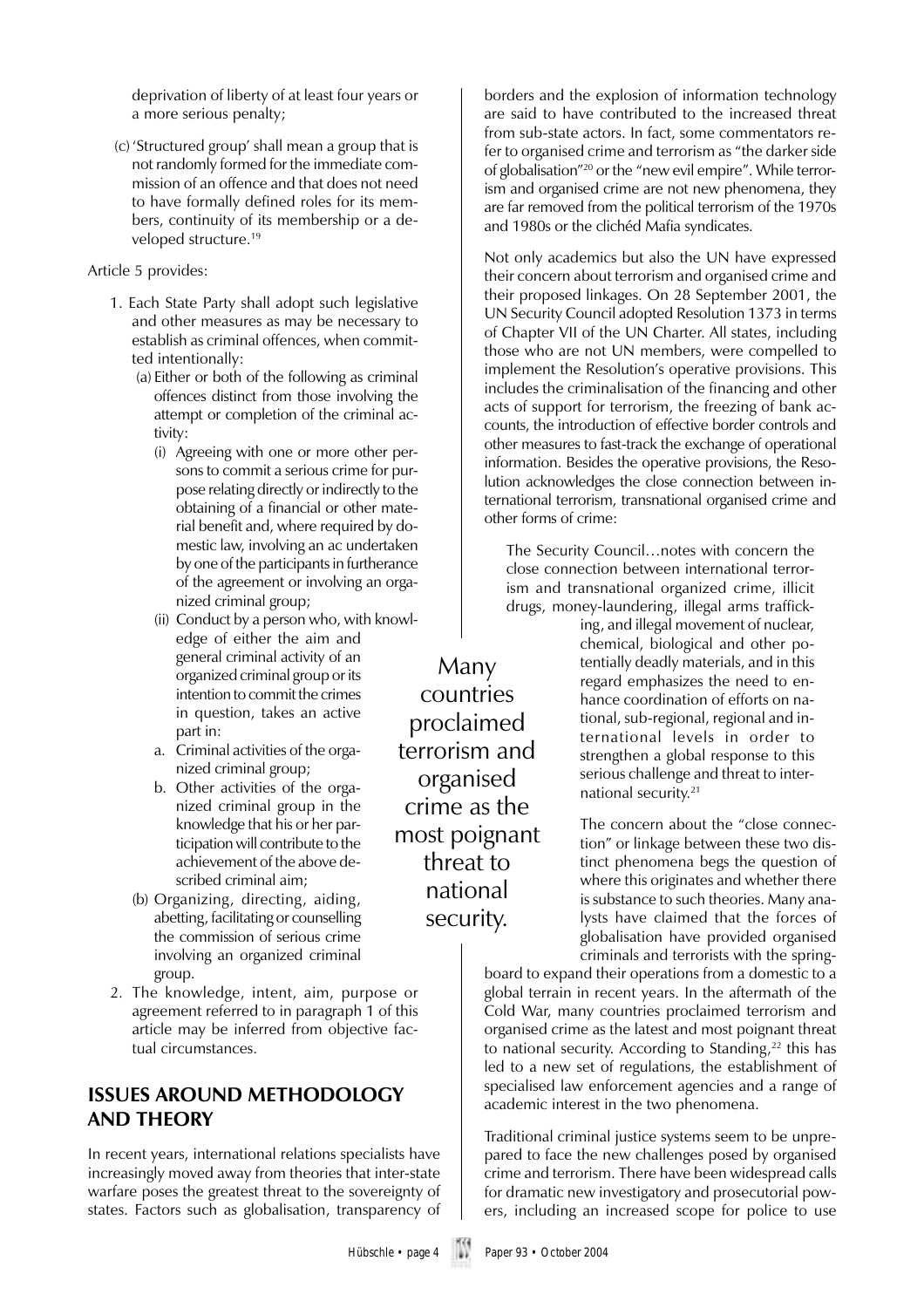deprivation of liberty of at least four years or a more serious penalty;

 (c)'Structured group' shall mean a group that is not randomly formed for the immediate commission of an offence and that does not need to have formally defined roles for its members, continuity of its membership or a developed structure.<sup>19</sup>

#### Article 5 provides:

- 1. Each State Party shall adopt such legislative and other measures as may be necessary to establish as criminal offences, when committed intentionally:
	- (a) Either or both of the following as criminal offences distinct from those involving the attempt or completion of the criminal activity:
		- (i) Agreeing with one or more other persons to commit a serious crime for purpose relating directly or indirectly to the obtaining of a financial or other material benefit and, where required by domestic law, involving an ac undertaken by one of the participants in furtherance of the agreement or involving an organized criminal group;
		- (ii) Conduct by a person who, with knowledge of either the aim and general criminal activity of an organized criminal group or its intention to commit the crimes in question, takes an active part in:
		- a. Criminal activities of the organized criminal group;
		- b. Other activities of the organized criminal group in the knowledge that his or her participation will contribute to the achievement of the above described criminal aim;
	- (b) Organizing, directing, aiding, abetting, facilitating or counselling the commission of serious crime involving an organized criminal group.
- 2. The knowledge, intent, aim, purpose or agreement referred to in paragraph 1 of this article may be inferred from objective factual circumstances.

### **ISSUES AROUND METHODOLOGY AND THEORY**

In recent years, international relations specialists have increasingly moved away from theories that inter-state warfare poses the greatest threat to the sovereignty of states. Factors such as globalisation, transparency of

Many countries proclaimed terrorism and organised crime as the most poignant threat to national security.

borders and the explosion of information technology are said to have contributed to the increased threat from sub-state actors. In fact, some commentators refer to organised crime and terrorism as "the darker side of globalisation"20 or the "new evil empire". While terrorism and organised crime are not new phenomena, they are far removed from the political terrorism of the 1970s and 1980s or the clichéd Mafia syndicates.

Not only academics but also the UN have expressed their concern about terrorism and organised crime and their proposed linkages. On 28 September 2001, the UN Security Council adopted Resolution 1373 in terms of Chapter VII of the UN Charter. All states, including those who are not UN members, were compelled to implement the Resolution's operative provisions. This includes the criminalisation of the financing and other acts of support for terrorism, the freezing of bank accounts, the introduction of effective border controls and other measures to fast-track the exchange of operational information. Besides the operative provisions, the Resolution acknowledges the close connection between international terrorism, transnational organised crime and other forms of crime:

The Security Council…notes with concern the close connection between international terrorism and transnational organized crime, illicit drugs, money-laundering, illegal arms traffick-

ing, and illegal movement of nuclear, chemical, biological and other potentially deadly materials, and in this regard emphasizes the need to enhance coordination of efforts on national, sub-regional, regional and international levels in order to strengthen a global response to this serious challenge and threat to international security.21

The concern about the "close connection" or linkage between these two distinct phenomena begs the question of where this originates and whether there is substance to such theories. Many analysts have claimed that the forces of globalisation have provided organised criminals and terrorists with the spring-

board to expand their operations from a domestic to a global terrain in recent years. In the aftermath of the Cold War, many countries proclaimed terrorism and organised crime as the latest and most poignant threat to national security. According to Standing, $22$  this has led to a new set of regulations, the establishment of specialised law enforcement agencies and a range of academic interest in the two phenomena.

Traditional criminal justice systems seem to be unprepared to face the new challenges posed by organised crime and terrorism. There have been widespread calls for dramatic new investigatory and prosecutorial powers, including an increased scope for police to use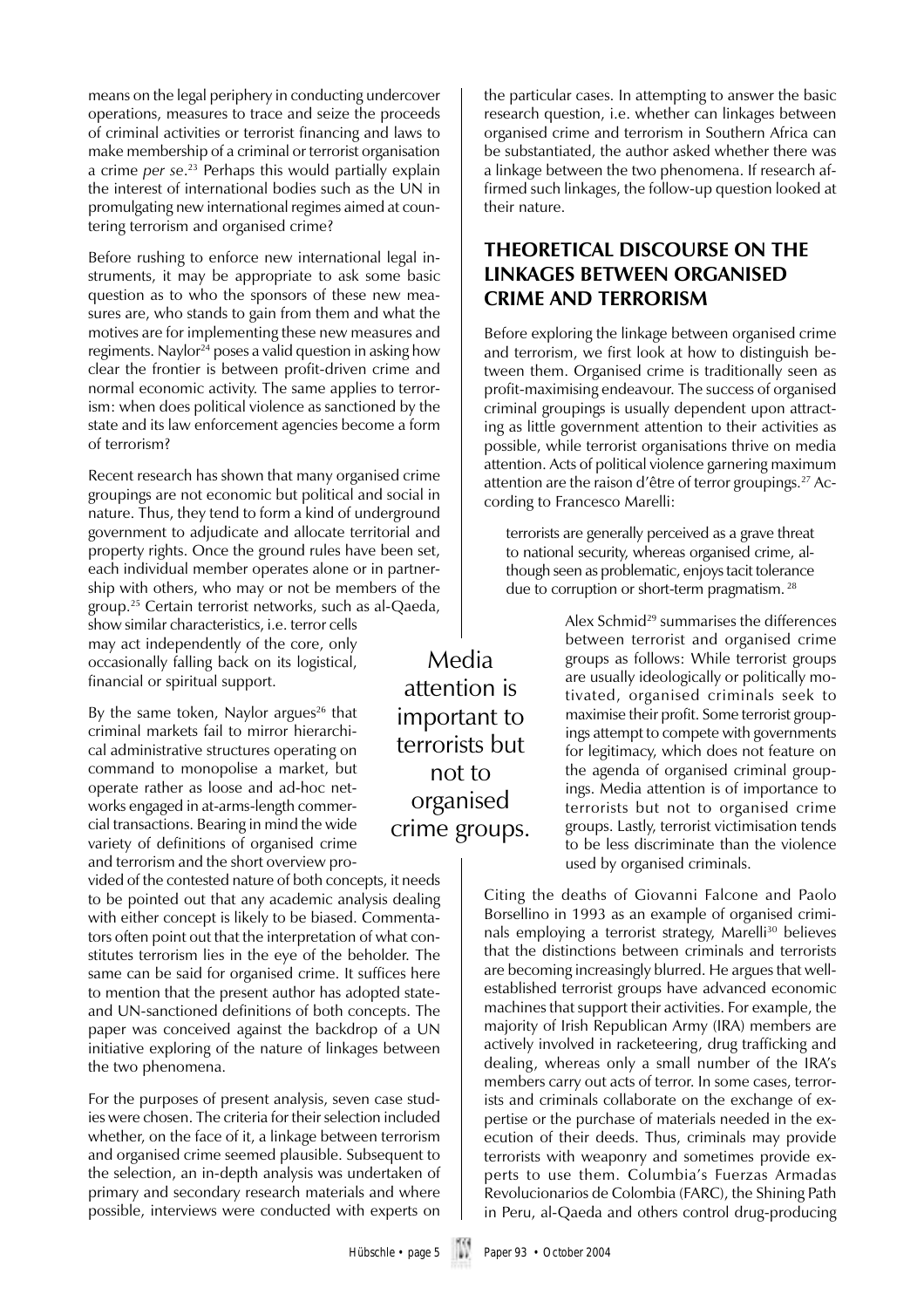means on the legal periphery in conducting undercover operations, measures to trace and seize the proceeds of criminal activities or terrorist financing and laws to make membership of a criminal or terrorist organisation a crime *per se*. 23 Perhaps this would partially explain the interest of international bodies such as the UN in promulgating new international regimes aimed at countering terrorism and organised crime?

Before rushing to enforce new international legal instruments, it may be appropriate to ask some basic question as to who the sponsors of these new measures are, who stands to gain from them and what the motives are for implementing these new measures and regiments. Naylor<sup>24</sup> poses a valid question in asking how clear the frontier is between profit-driven crime and normal economic activity. The same applies to terrorism: when does political violence as sanctioned by the state and its law enforcement agencies become a form of terrorism?

Recent research has shown that many organised crime groupings are not economic but political and social in nature. Thus, they tend to form a kind of underground government to adjudicate and allocate territorial and property rights. Once the ground rules have been set, each individual member operates alone or in partnership with others, who may or not be members of the group.25 Certain terrorist networks, such as al-Qaeda, show similar characteristics, i.e. terror cells may act independently of the core, only occasionally falling back on its logistical, financial or spiritual support.

By the same token, Naylor argues<sup>26</sup> that criminal markets fail to mirror hierarchical administrative structures operating on command to monopolise a market, but operate rather as loose and ad-hoc networks engaged in at-arms-length commercial transactions. Bearing in mind the wide variety of definitions of organised crime and terrorism and the short overview pro-

vided of the contested nature of both concepts, it needs to be pointed out that any academic analysis dealing with either concept is likely to be biased. Commentators often point out that the interpretation of what constitutes terrorism lies in the eye of the beholder. The same can be said for organised crime. It suffices here to mention that the present author has adopted stateand UN-sanctioned definitions of both concepts. The paper was conceived against the backdrop of a UN initiative exploring of the nature of linkages between the two phenomena.

For the purposes of present analysis, seven case studies were chosen. The criteria for their selection included whether, on the face of it, a linkage between terrorism and organised crime seemed plausible. Subsequent to the selection, an in-depth analysis was undertaken of primary and secondary research materials and where possible, interviews were conducted with experts on

the particular cases. In attempting to answer the basic research question, i.e. whether can linkages between organised crime and terrorism in Southern Africa can be substantiated, the author asked whether there was a linkage between the two phenomena. If research affirmed such linkages, the follow-up question looked at their nature.

## **THEORETICAL DISCOURSE ON THE LINKAGES BETWEEN ORGANISED CRIME AND TERRORISM**

Before exploring the linkage between organised crime and terrorism, we first look at how to distinguish between them. Organised crime is traditionally seen as profit-maximising endeavour. The success of organised criminal groupings is usually dependent upon attracting as little government attention to their activities as possible, while terrorist organisations thrive on media attention. Acts of political violence garnering maximum attention are the raison d'être of terror groupings.27 According to Francesco Marelli:

terrorists are generally perceived as a grave threat to national security, whereas organised crime, although seen as problematic, enjoys tacit tolerance due to corruption or short-term pragmatism. 28

> Alex Schmid<sup>29</sup> summarises the differences between terrorist and organised crime groups as follows: While terrorist groups are usually ideologically or politically motivated, organised criminals seek to maximise their profit. Some terrorist groupings attempt to compete with governments for legitimacy, which does not feature on the agenda of organised criminal groupings. Media attention is of importance to terrorists but not to organised crime groups. Lastly, terrorist victimisation tends to be less discriminate than the violence used by organised criminals.

Citing the deaths of Giovanni Falcone and Paolo Borsellino in 1993 as an example of organised criminals employing a terrorist strategy, Marelli<sup>30</sup> believes that the distinctions between criminals and terrorists are becoming increasingly blurred. He argues that wellestablished terrorist groups have advanced economic machines that support their activities. For example, the majority of Irish Republican Army (IRA) members are actively involved in racketeering, drug trafficking and dealing, whereas only a small number of the IRA's members carry out acts of terror. In some cases, terrorists and criminals collaborate on the exchange of expertise or the purchase of materials needed in the execution of their deeds. Thus, criminals may provide terrorists with weaponry and sometimes provide experts to use them. Columbia's Fuerzas Armadas Revolucionarios de Colombia (FARC), the Shining Path in Peru, al-Qaeda and others control drug-producing

Media attention is important to terrorists but not to organised crime groups.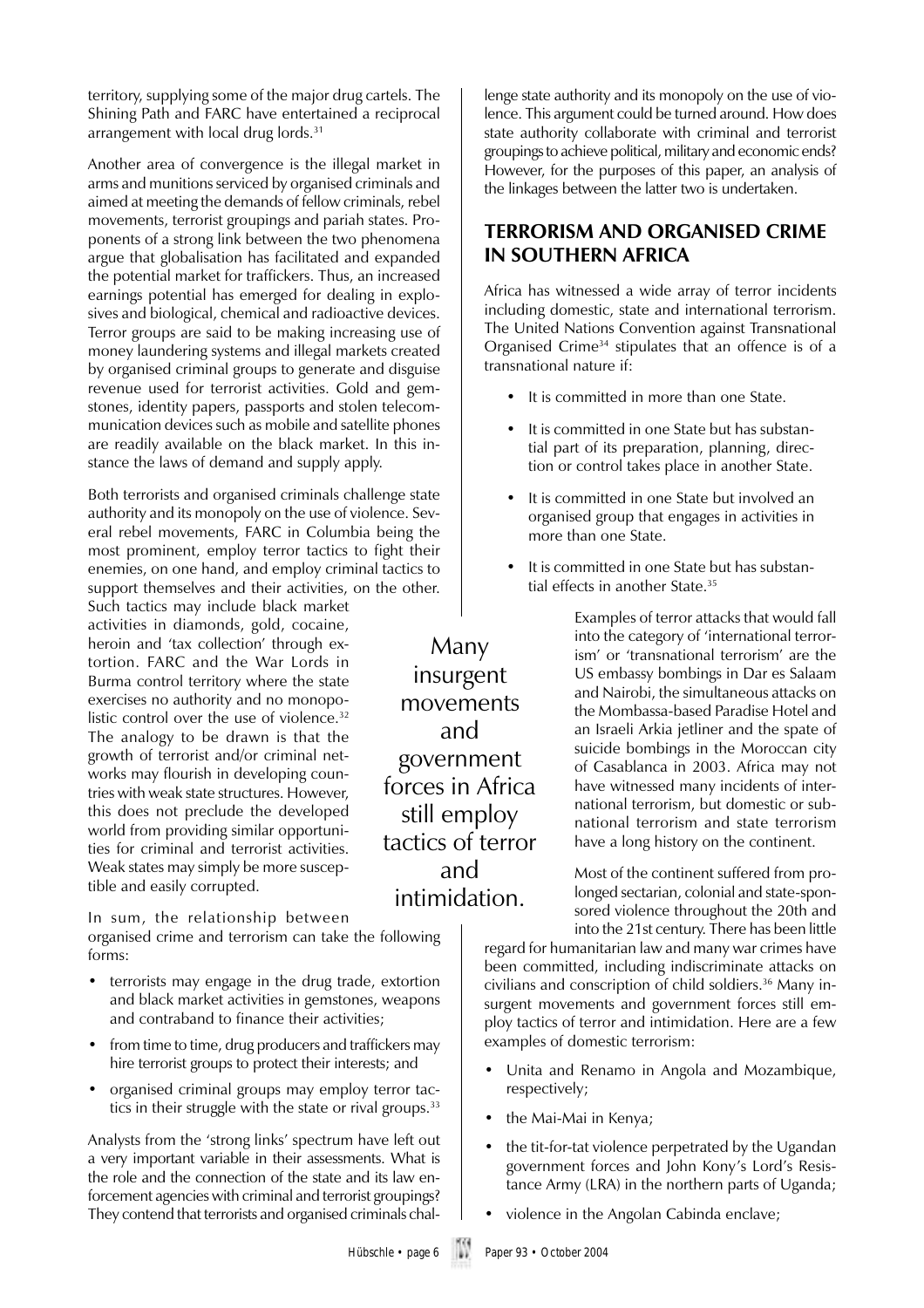territory, supplying some of the major drug cartels. The Shining Path and FARC have entertained a reciprocal arrangement with local drug lords.<sup>31</sup>

Another area of convergence is the illegal market in arms and munitions serviced by organised criminals and aimed at meeting the demands of fellow criminals, rebel movements, terrorist groupings and pariah states. Proponents of a strong link between the two phenomena argue that globalisation has facilitated and expanded the potential market for traffickers. Thus, an increased earnings potential has emerged for dealing in explosives and biological, chemical and radioactive devices. Terror groups are said to be making increasing use of money laundering systems and illegal markets created by organised criminal groups to generate and disguise revenue used for terrorist activities. Gold and gemstones, identity papers, passports and stolen telecommunication devices such as mobile and satellite phones are readily available on the black market. In this instance the laws of demand and supply apply.

Both terrorists and organised criminals challenge state authority and its monopoly on the use of violence. Several rebel movements, FARC in Columbia being the most prominent, employ terror tactics to fight their enemies, on one hand, and employ criminal tactics to support themselves and their activities, on the other.

Such tactics may include black market activities in diamonds, gold, cocaine, heroin and 'tax collection' through extortion. FARC and the War Lords in Burma control territory where the state exercises no authority and no monopolistic control over the use of violence.<sup>32</sup> The analogy to be drawn is that the growth of terrorist and/or criminal networks may flourish in developing countries with weak state structures. However, this does not preclude the developed world from providing similar opportunities for criminal and terrorist activities. Weak states may simply be more susceptible and easily corrupted.

In sum, the relationship between organised crime and terrorism can take the following forms:

- terrorists may engage in the drug trade, extortion and black market activities in gemstones, weapons and contraband to finance their activities;
- from time to time, drug producers and traffickers may hire terrorist groups to protect their interests; and
- organised criminal groups may employ terror tactics in their struggle with the state or rival groups.<sup>33</sup>

Analysts from the 'strong links' spectrum have left out a very important variable in their assessments. What is the role and the connection of the state and its law enforcement agencies with criminal and terrorist groupings? They contend that terrorists and organised criminals challenge state authority and its monopoly on the use of violence. This argument could be turned around. How does state authority collaborate with criminal and terrorist groupings to achieve political, military and economic ends? However, for the purposes of this paper, an analysis of the linkages between the latter two is undertaken.

### **TERRORISM AND ORGANISED CRIME IN SOUTHERN AFRICA**

Africa has witnessed a wide array of terror incidents including domestic, state and international terrorism. The United Nations Convention against Transnational Organised Crime34 stipulates that an offence is of a transnational nature if:

- It is committed in more than one State.
- It is committed in one State but has substantial part of its preparation, planning, direction or control takes place in another State.
- It is committed in one State but involved an organised group that engages in activities in more than one State.
- It is committed in one State but has substantial effects in another State.<sup>35</sup>

Examples of terror attacks that would fall into the category of 'international terrorism' or 'transnational terrorism' are the US embassy bombings in Dar es Salaam and Nairobi, the simultaneous attacks on the Mombassa-based Paradise Hotel and an Israeli Arkia jetliner and the spate of suicide bombings in the Moroccan city of Casablanca in 2003. Africa may not have witnessed many incidents of international terrorism, but domestic or subnational terrorism and state terrorism have a long history on the continent.

Most of the continent suffered from prolonged sectarian, colonial and state-sponsored violence throughout the 20th and into the 21st century. There has been little

regard for humanitarian law and many war crimes have been committed, including indiscriminate attacks on civilians and conscription of child soldiers.<sup>36</sup> Many insurgent movements and government forces still employ tactics of terror and intimidation. Here are a few examples of domestic terrorism:

- Unita and Renamo in Angola and Mozambique, respectively;
- the Mai-Mai in Kenya;
- the tit-for-tat violence perpetrated by the Ugandan government forces and John Kony's Lord's Resistance Army (LRA) in the northern parts of Uganda;
- violence in the Angolan Cabinda enclave;

Many insurgent movements and government forces in Africa still employ tactics of terror and intimidation.

Hübschle • page 6 Paper 93 • October 2004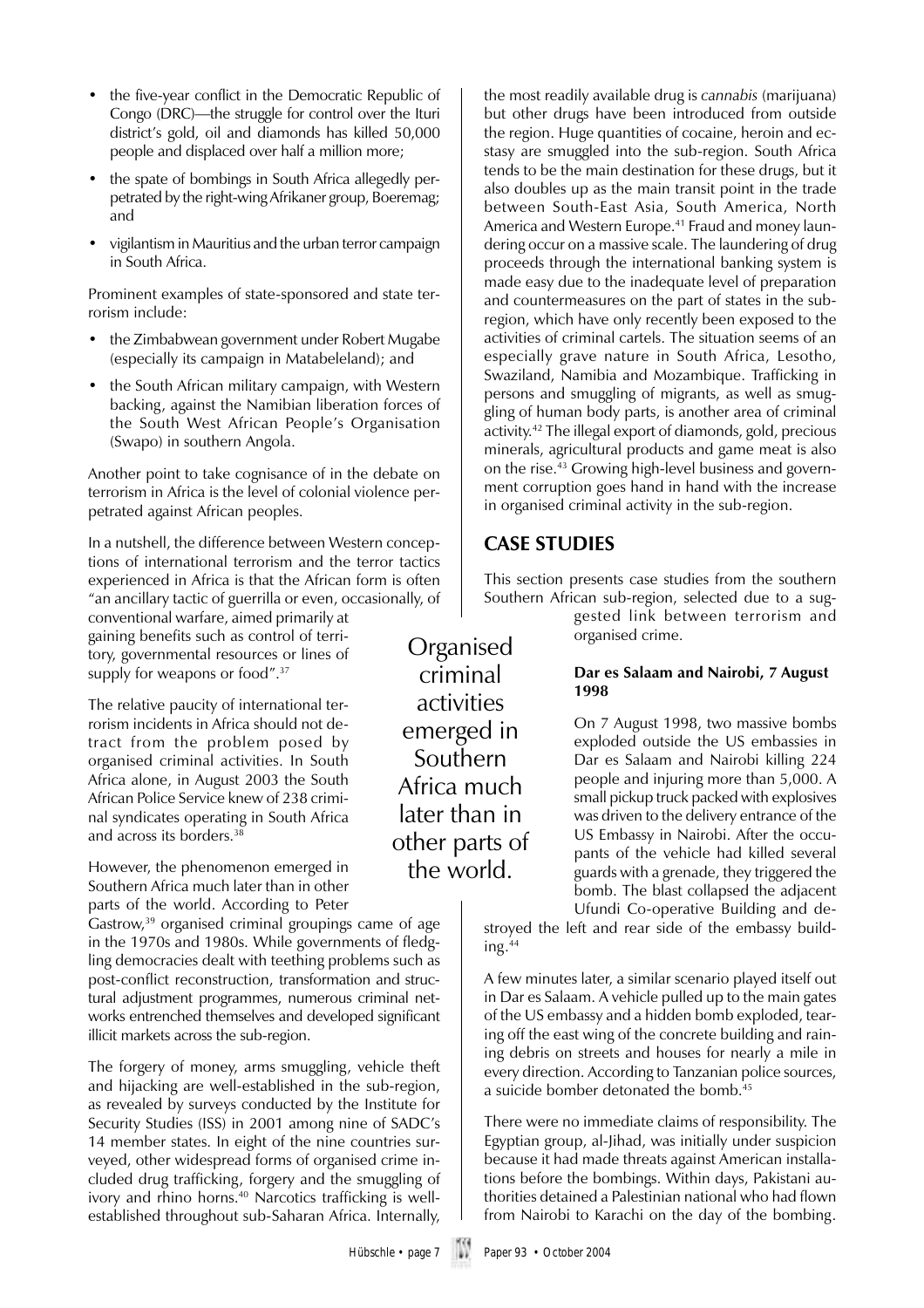- the five-year conflict in the Democratic Republic of Congo (DRC)—the struggle for control over the Ituri district's gold, oil and diamonds has killed 50,000 people and displaced over half a million more;
- the spate of bombings in South Africa allegedly perpetrated by the right-wing Afrikaner group, Boeremag; and
- vigilantism in Mauritius and the urban terror campaign in South Africa.

Prominent examples of state-sponsored and state terrorism include:

- the Zimbabwean government under Robert Mugabe (especially its campaign in Matabeleland); and
- the South African military campaign, with Western backing, against the Namibian liberation forces of the South West African People's Organisation (Swapo) in southern Angola.

Another point to take cognisance of in the debate on terrorism in Africa is the level of colonial violence perpetrated against African peoples.

In a nutshell, the difference between Western conceptions of international terrorism and the terror tactics experienced in Africa is that the African form is often "an ancillary tactic of guerrilla or even, occasionally, of

conventional warfare, aimed primarily at gaining benefits such as control of territory, governmental resources or lines of supply for weapons or food".<sup>37</sup>

The relative paucity of international terrorism incidents in Africa should not detract from the problem posed by organised criminal activities. In South Africa alone, in August 2003 the South African Police Service knew of 238 criminal syndicates operating in South Africa and across its borders.38

However, the phenomenon emerged in Southern Africa much later than in other parts of the world. According to Peter

Gastrow,<sup>39</sup> organised criminal groupings came of age in the 1970s and 1980s. While governments of fledgling democracies dealt with teething problems such as post-conflict reconstruction, transformation and structural adjustment programmes, numerous criminal networks entrenched themselves and developed significant illicit markets across the sub-region.

The forgery of money, arms smuggling, vehicle theft and hijacking are well-established in the sub-region, as revealed by surveys conducted by the Institute for Security Studies (ISS) in 2001 among nine of SADC's 14 member states. In eight of the nine countries surveyed, other widespread forms of organised crime included drug trafficking, forgery and the smuggling of ivory and rhino horns.<sup>40</sup> Narcotics trafficking is wellestablished throughout sub-Saharan Africa. Internally,

the most readily available drug is *cannabis* (marijuana) but other drugs have been introduced from outside the region. Huge quantities of cocaine, heroin and ecstasy are smuggled into the sub-region. South Africa tends to be the main destination for these drugs, but it also doubles up as the main transit point in the trade between South-East Asia, South America, North America and Western Europe.<sup>41</sup> Fraud and money laundering occur on a massive scale. The laundering of drug proceeds through the international banking system is made easy due to the inadequate level of preparation and countermeasures on the part of states in the subregion, which have only recently been exposed to the activities of criminal cartels. The situation seems of an especially grave nature in South Africa, Lesotho, Swaziland, Namibia and Mozambique. Trafficking in persons and smuggling of migrants, as well as smuggling of human body parts, is another area of criminal activity.42 The illegal export of diamonds, gold, precious minerals, agricultural products and game meat is also on the rise.<sup>43</sup> Growing high-level business and government corruption goes hand in hand with the increase in organised criminal activity in the sub-region.

## **CASE STUDIES**

Organised criminal activities emerged in Southern Africa much later than in other parts of the world.

This section presents case studies from the southern Southern African sub-region, selected due to a sug-

gested link between terrorism and organised crime.

#### **Dar es Salaam and Nairobi, 7 August 1998**

On 7 August 1998, two massive bombs exploded outside the US embassies in Dar es Salaam and Nairobi killing 224 people and injuring more than 5,000. A small pickup truck packed with explosives was driven to the delivery entrance of the US Embassy in Nairobi. After the occupants of the vehicle had killed several guards with a grenade, they triggered the bomb. The blast collapsed the adjacent Ufundi Co-operative Building and de-

stroyed the left and rear side of the embassy building.44

A few minutes later, a similar scenario played itself out in Dar es Salaam. A vehicle pulled up to the main gates of the US embassy and a hidden bomb exploded, tearing off the east wing of the concrete building and raining debris on streets and houses for nearly a mile in every direction. According to Tanzanian police sources, a suicide bomber detonated the bomb.45

There were no immediate claims of responsibility. The Egyptian group, al-Jihad, was initially under suspicion because it had made threats against American installations before the bombings. Within days, Pakistani authorities detained a Palestinian national who had flown from Nairobi to Karachi on the day of the bombing.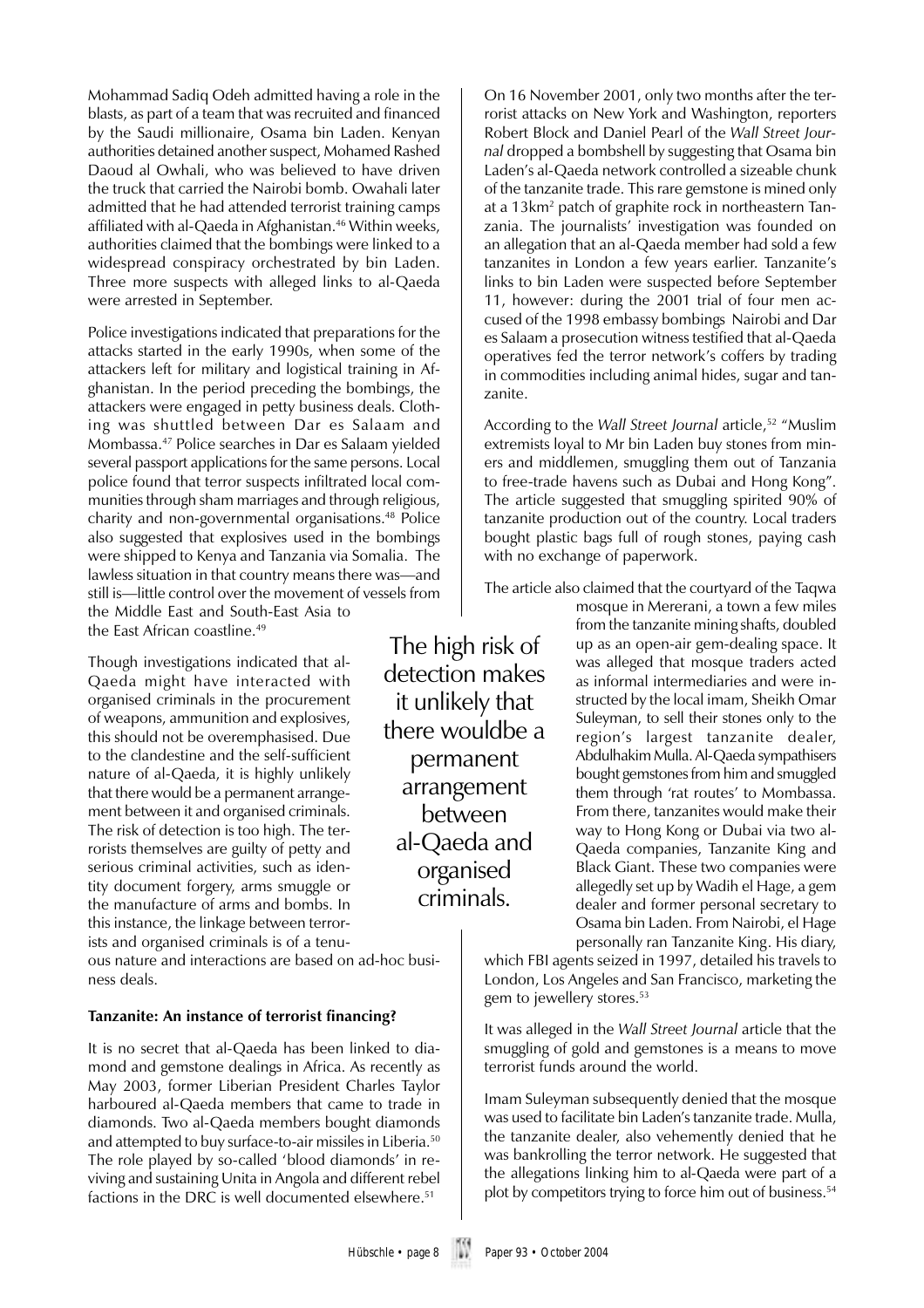Mohammad Sadiq Odeh admitted having a role in the blasts, as part of a team that was recruited and financed by the Saudi millionaire, Osama bin Laden. Kenyan authorities detained another suspect, Mohamed Rashed Daoud al Owhali, who was believed to have driven the truck that carried the Nairobi bomb. Owahali later admitted that he had attended terrorist training camps affiliated with al-Qaeda in Afghanistan.<sup>46</sup> Within weeks, authorities claimed that the bombings were linked to a widespread conspiracy orchestrated by bin Laden. Three more suspects with alleged links to al-Qaeda were arrested in September.

Police investigations indicated that preparations for the attacks started in the early 1990s, when some of the attackers left for military and logistical training in Afghanistan. In the period preceding the bombings, the attackers were engaged in petty business deals. Clothing was shuttled between Dar es Salaam and Mombassa.47 Police searches in Dar es Salaam yielded several passport applications for the same persons. Local police found that terror suspects infiltrated local communities through sham marriages and through religious, charity and non-governmental organisations.48 Police also suggested that explosives used in the bombings were shipped to Kenya and Tanzania via Somalia. The lawless situation in that country means there was—and still is—little control over the movement of vessels from the Middle East and South-East Asia to the East African coastline.<sup>49</sup>

Though investigations indicated that al-Qaeda might have interacted with organised criminals in the procurement of weapons, ammunition and explosives, this should not be overemphasised. Due to the clandestine and the self-sufficient nature of al-Qaeda, it is highly unlikely that there would be a permanent arrangement between it and organised criminals. The risk of detection is too high. The terrorists themselves are guilty of petty and serious criminal activities, such as identity document forgery, arms smuggle or the manufacture of arms and bombs. In this instance, the linkage between terrorists and organised criminals is of a tenu-

ous nature and interactions are based on ad-hoc business deals.

#### **Tanzanite: An instance of terrorist financing?**

It is no secret that al-Qaeda has been linked to diamond and gemstone dealings in Africa. As recently as May 2003, former Liberian President Charles Taylor harboured al-Qaeda members that came to trade in diamonds. Two al-Qaeda members bought diamonds and attempted to buy surface-to-air missiles in Liberia.50 The role played by so-called 'blood diamonds' in reviving and sustaining Unita in Angola and different rebel factions in the DRC is well documented elsewhere.51

The high risk of detection makes it unlikely that there wouldbe a permanent arrangement between al-Qaeda and organised criminals.

On 16 November 2001, only two months after the terrorist attacks on New York and Washington, reporters Robert Block and Daniel Pearl of the *Wall Street Journal* dropped a bombshell by suggesting that Osama bin Laden's al-Qaeda network controlled a sizeable chunk of the tanzanite trade. This rare gemstone is mined only at a 13km² patch of graphite rock in northeastern Tanzania. The journalists' investigation was founded on an allegation that an al-Qaeda member had sold a few tanzanites in London a few years earlier. Tanzanite's links to bin Laden were suspected before September 11, however: during the 2001 trial of four men accused of the 1998 embassy bombings Nairobi and Dar es Salaam a prosecution witness testified that al-Qaeda operatives fed the terror network's coffers by trading in commodities including animal hides, sugar and tanzanite.

According to the *Wall Street Journal* article,<sup>52</sup> "Muslim extremists loyal to Mr bin Laden buy stones from miners and middlemen, smuggling them out of Tanzania to free-trade havens such as Dubai and Hong Kong". The article suggested that smuggling spirited 90% of tanzanite production out of the country. Local traders bought plastic bags full of rough stones, paying cash with no exchange of paperwork.

The article also claimed that the courtyard of the Taqwa

mosque in Mererani, a town a few miles from the tanzanite mining shafts, doubled up as an open-air gem-dealing space. It was alleged that mosque traders acted as informal intermediaries and were instructed by the local imam, Sheikh Omar Suleyman, to sell their stones only to the region's largest tanzanite dealer, Abdulhakim Mulla. Al-Qaeda sympathisers bought gemstones from him and smuggled them through 'rat routes' to Mombassa. From there, tanzanites would make their way to Hong Kong or Dubai via two al-Qaeda companies, Tanzanite King and Black Giant. These two companies were allegedly set up by Wadih el Hage, a gem dealer and former personal secretary to Osama bin Laden. From Nairobi, el Hage personally ran Tanzanite King. His diary,

which FBI agents seized in 1997, detailed his travels to London, Los Angeles and San Francisco, marketing the gem to jewellery stores.<sup>53</sup>

It was alleged in the *Wall Street Journal* article that the smuggling of gold and gemstones is a means to move terrorist funds around the world.

Imam Suleyman subsequently denied that the mosque was used to facilitate bin Laden's tanzanite trade. Mulla, the tanzanite dealer, also vehemently denied that he was bankrolling the terror network. He suggested that the allegations linking him to al-Qaeda were part of a plot by competitors trying to force him out of business.<sup>54</sup>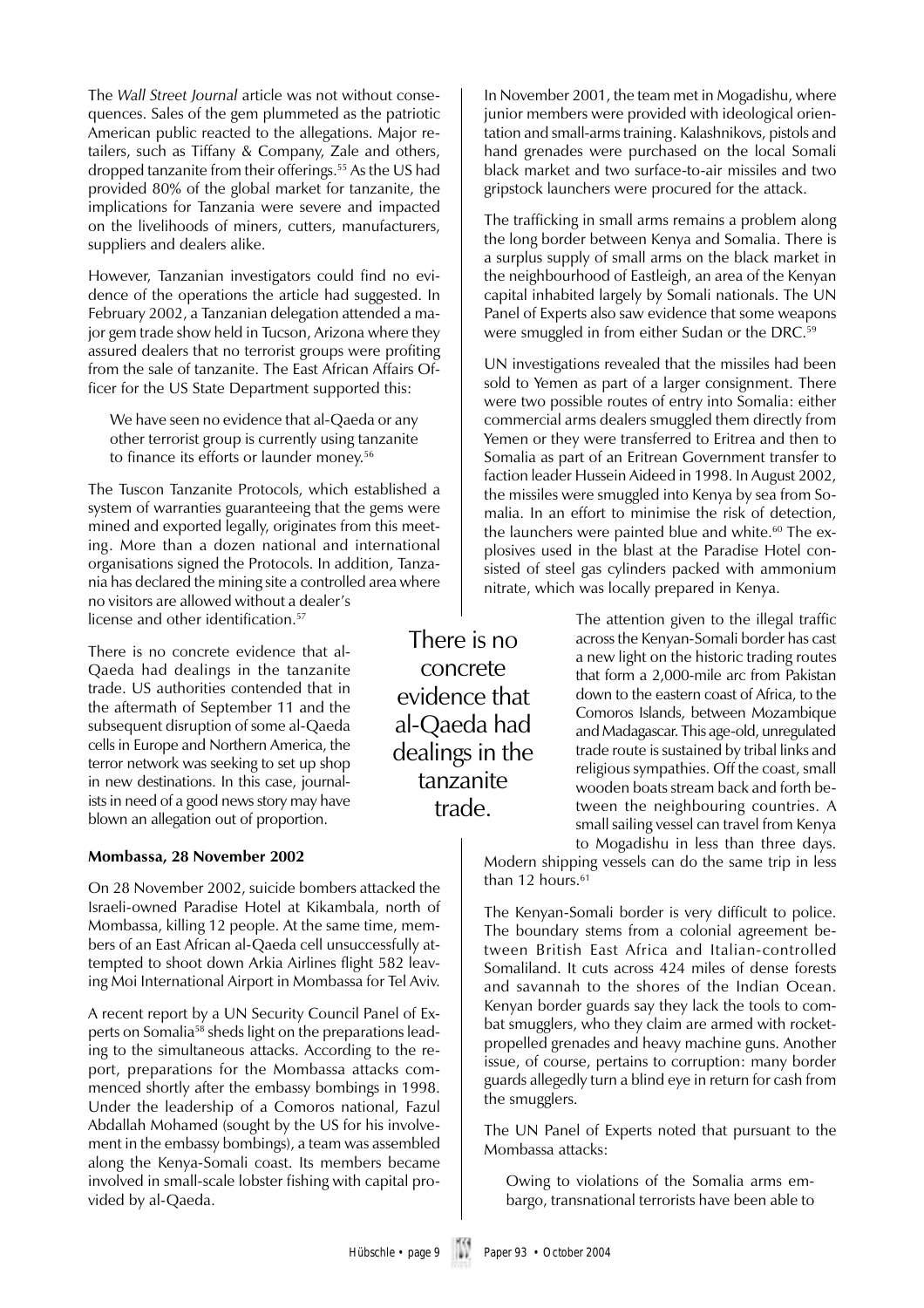The *Wall Street Journal* article was not without consequences. Sales of the gem plummeted as the patriotic American public reacted to the allegations. Major retailers, such as Tiffany & Company, Zale and others, dropped tanzanite from their offerings.55 As the US had provided 80% of the global market for tanzanite, the implications for Tanzania were severe and impacted on the livelihoods of miners, cutters, manufacturers, suppliers and dealers alike.

However, Tanzanian investigators could find no evidence of the operations the article had suggested. In February 2002, a Tanzanian delegation attended a major gem trade show held in Tucson, Arizona where they assured dealers that no terrorist groups were profiting from the sale of tanzanite. The East African Affairs Officer for the US State Department supported this:

We have seen no evidence that al-Qaeda or any other terrorist group is currently using tanzanite to finance its efforts or launder money.<sup>56</sup>

The Tuscon Tanzanite Protocols, which established a system of warranties guaranteeing that the gems were mined and exported legally, originates from this meeting. More than a dozen national and international organisations signed the Protocols. In addition, Tanzania has declared the mining site a controlled area where no visitors are allowed without a dealer's license and other identification.<sup>57</sup>

There is no concrete evidence that al-Qaeda had dealings in the tanzanite trade. US authorities contended that in the aftermath of September 11 and the subsequent disruption of some al-Qaeda cells in Europe and Northern America, the terror network was seeking to set up shop in new destinations. In this case, journalists in need of a good news story may have blown an allegation out of proportion.

#### **Mombassa, 28 November 2002**

On 28 November 2002, suicide bombers attacked the Israeli-owned Paradise Hotel at Kikambala, north of Mombassa, killing 12 people. At the same time, members of an East African al-Qaeda cell unsuccessfully attempted to shoot down Arkia Airlines flight 582 leaving Moi International Airport in Mombassa for Tel Aviv.

A recent report by a UN Security Council Panel of Experts on Somalia58 sheds light on the preparations leading to the simultaneous attacks. According to the report, preparations for the Mombassa attacks commenced shortly after the embassy bombings in 1998. Under the leadership of a Comoros national, Fazul Abdallah Mohamed (sought by the US for his involvement in the embassy bombings), a team was assembled along the Kenya-Somali coast. Its members became involved in small-scale lobster fishing with capital provided by al-Qaeda.

In November 2001, the team met in Mogadishu, where junior members were provided with ideological orientation and small-arms training. Kalashnikovs, pistols and hand grenades were purchased on the local Somali black market and two surface-to-air missiles and two gripstock launchers were procured for the attack.

The trafficking in small arms remains a problem along the long border between Kenya and Somalia. There is a surplus supply of small arms on the black market in the neighbourhood of Eastleigh, an area of the Kenyan capital inhabited largely by Somali nationals. The UN Panel of Experts also saw evidence that some weapons were smuggled in from either Sudan or the DRC.<sup>59</sup>

UN investigations revealed that the missiles had been sold to Yemen as part of a larger consignment. There were two possible routes of entry into Somalia: either commercial arms dealers smuggled them directly from Yemen or they were transferred to Eritrea and then to Somalia as part of an Eritrean Government transfer to faction leader Hussein Aideed in 1998. In August 2002, the missiles were smuggled into Kenya by sea from Somalia. In an effort to minimise the risk of detection, the launchers were painted blue and white.<sup>60</sup> The explosives used in the blast at the Paradise Hotel consisted of steel gas cylinders packed with ammonium nitrate, which was locally prepared in Kenya.

There is no concrete evidence that al-Qaeda had dealings in the tanzanite trade.

The attention given to the illegal traffic across the Kenyan-Somali border has cast a new light on the historic trading routes that form a 2,000-mile arc from Pakistan down to the eastern coast of Africa, to the Comoros Islands, between Mozambique and Madagascar. This age-old, unregulated trade route is sustained by tribal links and religious sympathies. Off the coast, small wooden boats stream back and forth between the neighbouring countries. A small sailing vessel can travel from Kenya to Mogadishu in less than three days.

Modern shipping vessels can do the same trip in less than 12 hours. $61$ 

The Kenyan-Somali border is very difficult to police. The boundary stems from a colonial agreement between British East Africa and Italian-controlled Somaliland. It cuts across 424 miles of dense forests and savannah to the shores of the Indian Ocean. Kenyan border guards say they lack the tools to combat smugglers, who they claim are armed with rocketpropelled grenades and heavy machine guns. Another issue, of course, pertains to corruption: many border guards allegedly turn a blind eye in return for cash from the smugglers.

The UN Panel of Experts noted that pursuant to the Mombassa attacks:

Owing to violations of the Somalia arms embargo, transnational terrorists have been able to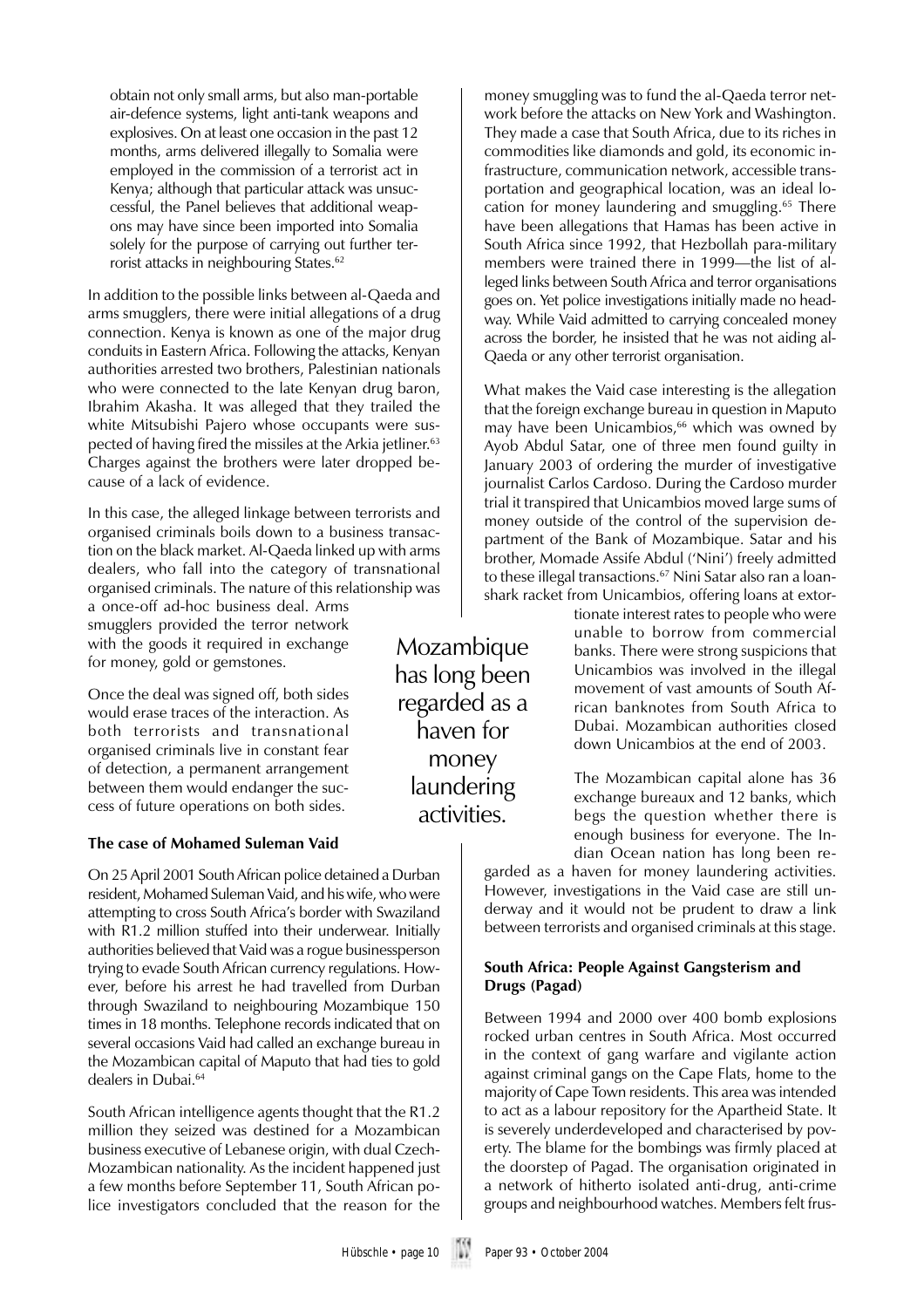obtain not only small arms, but also man-portable air-defence systems, light anti-tank weapons and explosives. On at least one occasion in the past 12 months, arms delivered illegally to Somalia were employed in the commission of a terrorist act in Kenya; although that particular attack was unsuccessful, the Panel believes that additional weapons may have since been imported into Somalia solely for the purpose of carrying out further terrorist attacks in neighbouring States.<sup>62</sup>

In addition to the possible links between al-Qaeda and arms smugglers, there were initial allegations of a drug connection. Kenya is known as one of the major drug conduits in Eastern Africa. Following the attacks, Kenyan authorities arrested two brothers, Palestinian nationals who were connected to the late Kenyan drug baron, Ibrahim Akasha. It was alleged that they trailed the white Mitsubishi Pajero whose occupants were suspected of having fired the missiles at the Arkia jetliner.<sup>63</sup> Charges against the brothers were later dropped because of a lack of evidence.

In this case, the alleged linkage between terrorists and organised criminals boils down to a business transaction on the black market. Al-Qaeda linked up with arms dealers, who fall into the category of transnational organised criminals. The nature of this relationship was

a once-off ad-hoc business deal. Arms smugglers provided the terror network with the goods it required in exchange for money, gold or gemstones.

Once the deal was signed off, both sides would erase traces of the interaction. As both terrorists and transnational organised criminals live in constant fear of detection, a permanent arrangement between them would endanger the success of future operations on both sides.

#### **The case of Mohamed Suleman Vaid**

On 25 April 2001 South African police detained a Durban resident, Mohamed Suleman Vaid, and his wife, who were attempting to cross South Africa's border with Swaziland with R1.2 million stuffed into their underwear. Initially authorities believed that Vaid was a rogue businessperson trying to evade South African currency regulations. However, before his arrest he had travelled from Durban through Swaziland to neighbouring Mozambique 150 times in 18 months. Telephone records indicated that on several occasions Vaid had called an exchange bureau in the Mozambican capital of Maputo that had ties to gold dealers in Dubai.<sup>64</sup>

South African intelligence agents thought that the R1.2 million they seized was destined for a Mozambican business executive of Lebanese origin, with dual Czech-Mozambican nationality. As the incident happened just a few months before September 11, South African police investigators concluded that the reason for the

money smuggling was to fund the al-Qaeda terror network before the attacks on New York and Washington. They made a case that South Africa, due to its riches in commodities like diamonds and gold, its economic infrastructure, communication network, accessible transportation and geographical location, was an ideal location for money laundering and smuggling.65 There have been allegations that Hamas has been active in South Africa since 1992, that Hezbollah para-military members were trained there in 1999—the list of alleged links between South Africa and terror organisations goes on. Yet police investigations initially made no headway. While Vaid admitted to carrying concealed money across the border, he insisted that he was not aiding al-Qaeda or any other terrorist organisation.

What makes the Vaid case interesting is the allegation that the foreign exchange bureau in question in Maputo may have been Unicambios,<sup>66</sup> which was owned by Ayob Abdul Satar, one of three men found guilty in January 2003 of ordering the murder of investigative journalist Carlos Cardoso. During the Cardoso murder trial it transpired that Unicambios moved large sums of money outside of the control of the supervision department of the Bank of Mozambique. Satar and his brother, Momade Assife Abdul ('Nini') freely admitted to these illegal transactions.<sup>67</sup> Nini Satar also ran a loanshark racket from Unicambios, offering loans at extor-

tionate interest rates to people who were unable to borrow from commercial banks. There were strong suspicions that Unicambios was involved in the illegal movement of vast amounts of South African banknotes from South Africa to Dubai. Mozambican authorities closed down Unicambios at the end of 2003.

The Mozambican capital alone has 36 exchange bureaux and 12 banks, which begs the question whether there is enough business for everyone. The Indian Ocean nation has long been re-

garded as a haven for money laundering activities. However, investigations in the Vaid case are still underway and it would not be prudent to draw a link between terrorists and organised criminals at this stage.

#### **South Africa: People Against Gangsterism and Drugs (Pagad)**

Between 1994 and 2000 over 400 bomb explosions rocked urban centres in South Africa. Most occurred in the context of gang warfare and vigilante action against criminal gangs on the Cape Flats, home to the majority of Cape Town residents. This area was intended to act as a labour repository for the Apartheid State. It is severely underdeveloped and characterised by poverty. The blame for the bombings was firmly placed at the doorstep of Pagad. The organisation originated in a network of hitherto isolated anti-drug, anti-crime groups and neighbourhood watches. Members felt frus-

Mozambique has long been regarded as a haven for money laundering activities.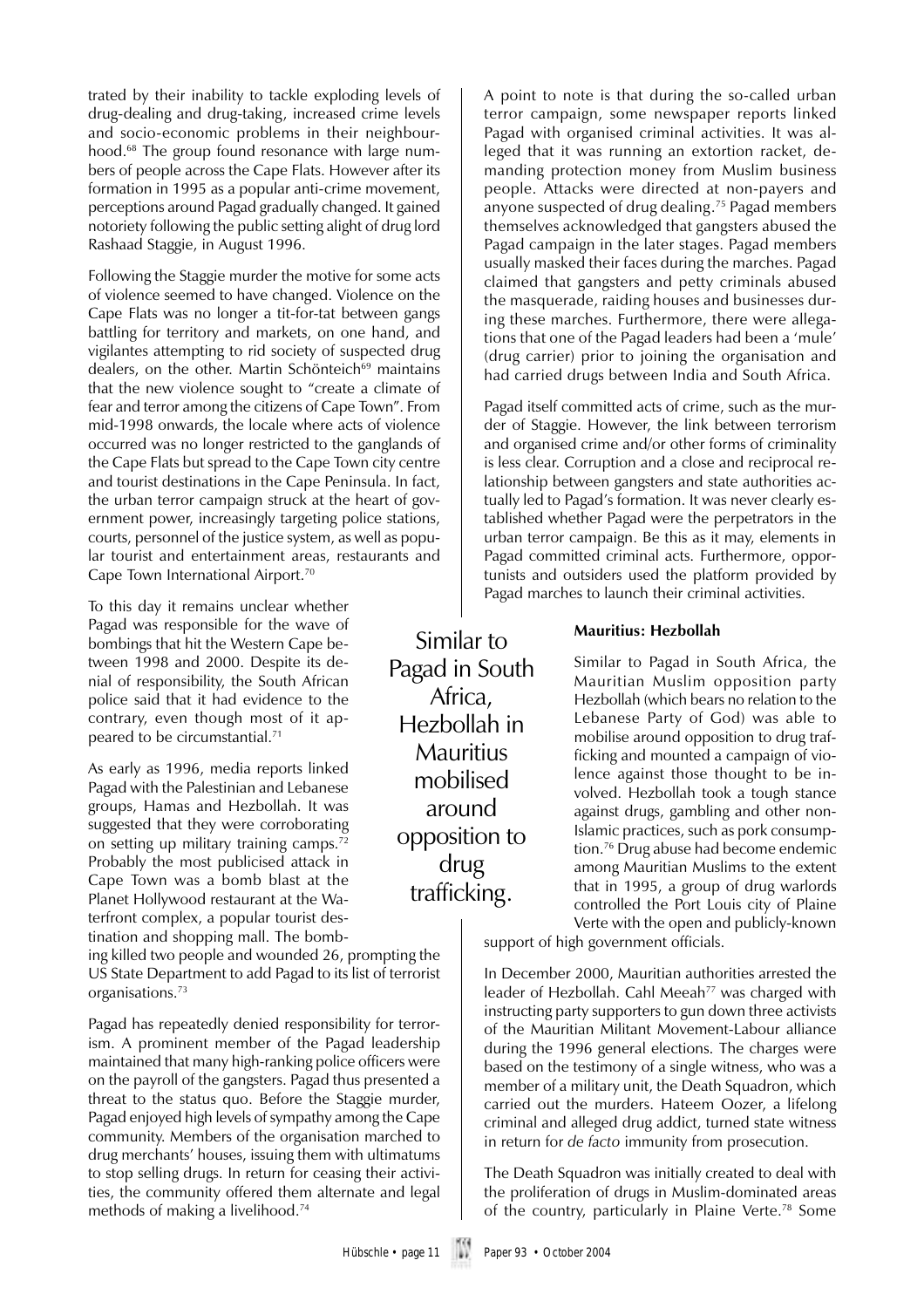trated by their inability to tackle exploding levels of drug-dealing and drug-taking, increased crime levels and socio-economic problems in their neighbourhood.<sup>68</sup> The group found resonance with large numbers of people across the Cape Flats. However after its formation in 1995 as a popular anti-crime movement, perceptions around Pagad gradually changed. It gained notoriety following the public setting alight of drug lord Rashaad Staggie, in August 1996.

Following the Staggie murder the motive for some acts of violence seemed to have changed. Violence on the Cape Flats was no longer a tit-for-tat between gangs battling for territory and markets, on one hand, and vigilantes attempting to rid society of suspected drug dealers, on the other. Martin Schönteich<sup>69</sup> maintains that the new violence sought to "create a climate of fear and terror among the citizens of Cape Town". From mid-1998 onwards, the locale where acts of violence occurred was no longer restricted to the ganglands of the Cape Flats but spread to the Cape Town city centre and tourist destinations in the Cape Peninsula. In fact, the urban terror campaign struck at the heart of government power, increasingly targeting police stations, courts, personnel of the justice system, as well as popular tourist and entertainment areas, restaurants and Cape Town International Airport.70

To this day it remains unclear whether Pagad was responsible for the wave of bombings that hit the Western Cape between 1998 and 2000. Despite its denial of responsibility, the South African police said that it had evidence to the contrary, even though most of it appeared to be circumstantial.71

As early as 1996, media reports linked Pagad with the Palestinian and Lebanese groups, Hamas and Hezbollah. It was suggested that they were corroborating on setting up military training camps.72 Probably the most publicised attack in Cape Town was a bomb blast at the Planet Hollywood restaurant at the Waterfront complex, a popular tourist destination and shopping mall. The bomb-

ing killed two people and wounded 26, prompting the US State Department to add Pagad to its list of terrorist organisations.73

Pagad has repeatedly denied responsibility for terrorism. A prominent member of the Pagad leadership maintained that many high-ranking police officers were on the payroll of the gangsters. Pagad thus presented a threat to the status quo. Before the Staggie murder, Pagad enjoyed high levels of sympathy among the Cape community. Members of the organisation marched to drug merchants' houses, issuing them with ultimatums to stop selling drugs. In return for ceasing their activities, the community offered them alternate and legal methods of making a livelihood.74

A point to note is that during the so-called urban terror campaign, some newspaper reports linked Pagad with organised criminal activities. It was alleged that it was running an extortion racket, demanding protection money from Muslim business people. Attacks were directed at non-payers and anyone suspected of drug dealing.75 Pagad members themselves acknowledged that gangsters abused the Pagad campaign in the later stages. Pagad members usually masked their faces during the marches. Pagad claimed that gangsters and petty criminals abused the masquerade, raiding houses and businesses during these marches. Furthermore, there were allegations that one of the Pagad leaders had been a 'mule' (drug carrier) prior to joining the organisation and had carried drugs between India and South Africa.

Pagad itself committed acts of crime, such as the murder of Staggie. However, the link between terrorism and organised crime and/or other forms of criminality is less clear. Corruption and a close and reciprocal relationship between gangsters and state authorities actually led to Pagad's formation. It was never clearly established whether Pagad were the perpetrators in the urban terror campaign. Be this as it may, elements in Pagad committed criminal acts. Furthermore, opportunists and outsiders used the platform provided by Pagad marches to launch their criminal activities.

#### **Mauritius: Hezbollah**

Similar to Pagad in South Africa, the Mauritian Muslim opposition party Hezbollah (which bears no relation to the Lebanese Party of God) was able to mobilise around opposition to drug trafficking and mounted a campaign of violence against those thought to be involved. Hezbollah took a tough stance against drugs, gambling and other non-Islamic practices, such as pork consumption.76 Drug abuse had become endemic among Mauritian Muslims to the extent that in 1995, a group of drug warlords controlled the Port Louis city of Plaine Verte with the open and publicly-known

support of high government officials.

In December 2000, Mauritian authorities arrested the leader of Hezbollah. Cahl Meeah<sup>77</sup> was charged with instructing party supporters to gun down three activists of the Mauritian Militant Movement-Labour alliance during the 1996 general elections. The charges were based on the testimony of a single witness, who was a member of a military unit, the Death Squadron, which carried out the murders. Hateem Oozer, a lifelong criminal and alleged drug addict, turned state witness in return for *de facto* immunity from prosecution.

The Death Squadron was initially created to deal with the proliferation of drugs in Muslim-dominated areas of the country, particularly in Plaine Verte.78 Some

Similar to Pagad in South Africa, Hezbollah in **Mauritius** mobilised around opposition to drug trafficking.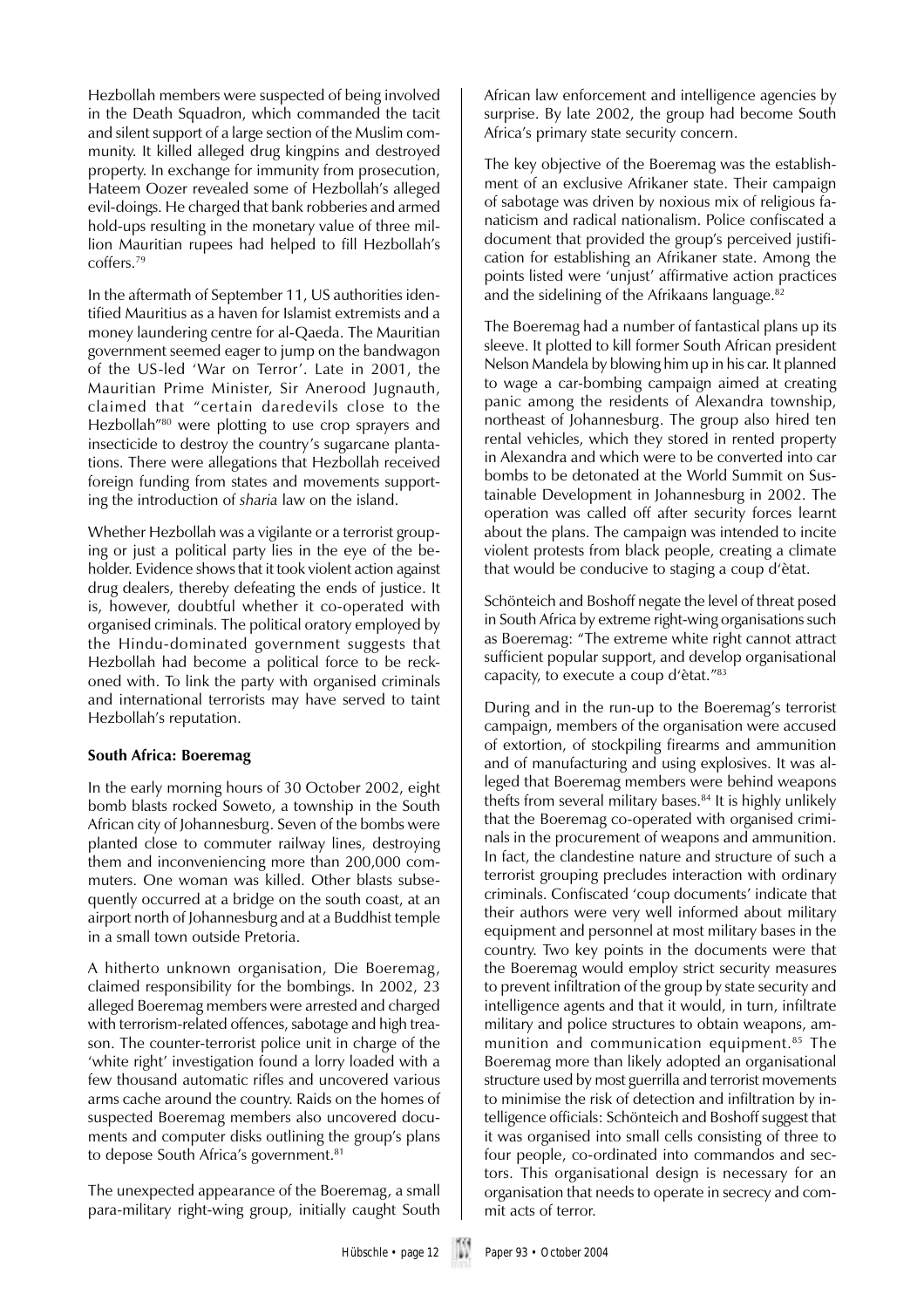Hezbollah members were suspected of being involved in the Death Squadron, which commanded the tacit and silent support of a large section of the Muslim community. It killed alleged drug kingpins and destroyed property. In exchange for immunity from prosecution, Hateem Oozer revealed some of Hezbollah's alleged evil-doings. He charged that bank robberies and armed hold-ups resulting in the monetary value of three million Mauritian rupees had helped to fill Hezbollah's coffers.79

In the aftermath of September 11, US authorities identified Mauritius as a haven for Islamist extremists and a money laundering centre for al-Qaeda. The Mauritian government seemed eager to jump on the bandwagon of the US-led 'War on Terror'. Late in 2001, the Mauritian Prime Minister, Sir Anerood Jugnauth, claimed that "certain daredevils close to the Hezbollah<sup>"80</sup> were plotting to use crop sprayers and insecticide to destroy the country's sugarcane plantations. There were allegations that Hezbollah received foreign funding from states and movements supporting the introduction of *sharia* law on the island.

Whether Hezbollah was a vigilante or a terrorist grouping or just a political party lies in the eye of the beholder. Evidence shows that it took violent action against drug dealers, thereby defeating the ends of justice. It is, however, doubtful whether it co-operated with organised criminals. The political oratory employed by the Hindu-dominated government suggests that Hezbollah had become a political force to be reckoned with. To link the party with organised criminals and international terrorists may have served to taint Hezbollah's reputation.

#### **South Africa: Boeremag**

In the early morning hours of 30 October 2002, eight bomb blasts rocked Soweto, a township in the South African city of Johannesburg. Seven of the bombs were planted close to commuter railway lines, destroying them and inconveniencing more than 200,000 commuters. One woman was killed. Other blasts subsequently occurred at a bridge on the south coast, at an airport north of Johannesburg and at a Buddhist temple in a small town outside Pretoria.

A hitherto unknown organisation, Die Boeremag, claimed responsibility for the bombings. In 2002, 23 alleged Boeremag members were arrested and charged with terrorism-related offences, sabotage and high treason. The counter-terrorist police unit in charge of the 'white right' investigation found a lorry loaded with a few thousand automatic rifles and uncovered various arms cache around the country. Raids on the homes of suspected Boeremag members also uncovered documents and computer disks outlining the group's plans to depose South Africa's government.<sup>81</sup>

The unexpected appearance of the Boeremag, a small para-military right-wing group, initially caught South African law enforcement and intelligence agencies by surprise. By late 2002, the group had become South Africa's primary state security concern.

The key objective of the Boeremag was the establishment of an exclusive Afrikaner state. Their campaign of sabotage was driven by noxious mix of religious fanaticism and radical nationalism. Police confiscated a document that provided the group's perceived justification for establishing an Afrikaner state. Among the points listed were 'unjust' affirmative action practices and the sidelining of the Afrikaans language.<sup>82</sup>

The Boeremag had a number of fantastical plans up its sleeve. It plotted to kill former South African president Nelson Mandela by blowing him up in his car. It planned to wage a car-bombing campaign aimed at creating panic among the residents of Alexandra township, northeast of Johannesburg. The group also hired ten rental vehicles, which they stored in rented property in Alexandra and which were to be converted into car bombs to be detonated at the World Summit on Sustainable Development in Johannesburg in 2002. The operation was called off after security forces learnt about the plans. The campaign was intended to incite violent protests from black people, creating a climate that would be conducive to staging a coup d'ètat.

Schönteich and Boshoff negate the level of threat posed in South Africa by extreme right-wing organisations such as Boeremag: "The extreme white right cannot attract sufficient popular support, and develop organisational capacity, to execute a coup d'ètat."83

During and in the run-up to the Boeremag's terrorist campaign, members of the organisation were accused of extortion, of stockpiling firearms and ammunition and of manufacturing and using explosives. It was alleged that Boeremag members were behind weapons thefts from several military bases.<sup>84</sup> It is highly unlikely that the Boeremag co-operated with organised criminals in the procurement of weapons and ammunition. In fact, the clandestine nature and structure of such a terrorist grouping precludes interaction with ordinary criminals. Confiscated 'coup documents' indicate that their authors were very well informed about military equipment and personnel at most military bases in the country. Two key points in the documents were that the Boeremag would employ strict security measures to prevent infiltration of the group by state security and intelligence agents and that it would, in turn, infiltrate military and police structures to obtain weapons, ammunition and communication equipment.<sup>85</sup> The Boeremag more than likely adopted an organisational structure used by most guerrilla and terrorist movements to minimise the risk of detection and infiltration by intelligence officials: Schönteich and Boshoff suggest that it was organised into small cells consisting of three to four people, co-ordinated into commandos and sectors. This organisational design is necessary for an organisation that needs to operate in secrecy and commit acts of terror.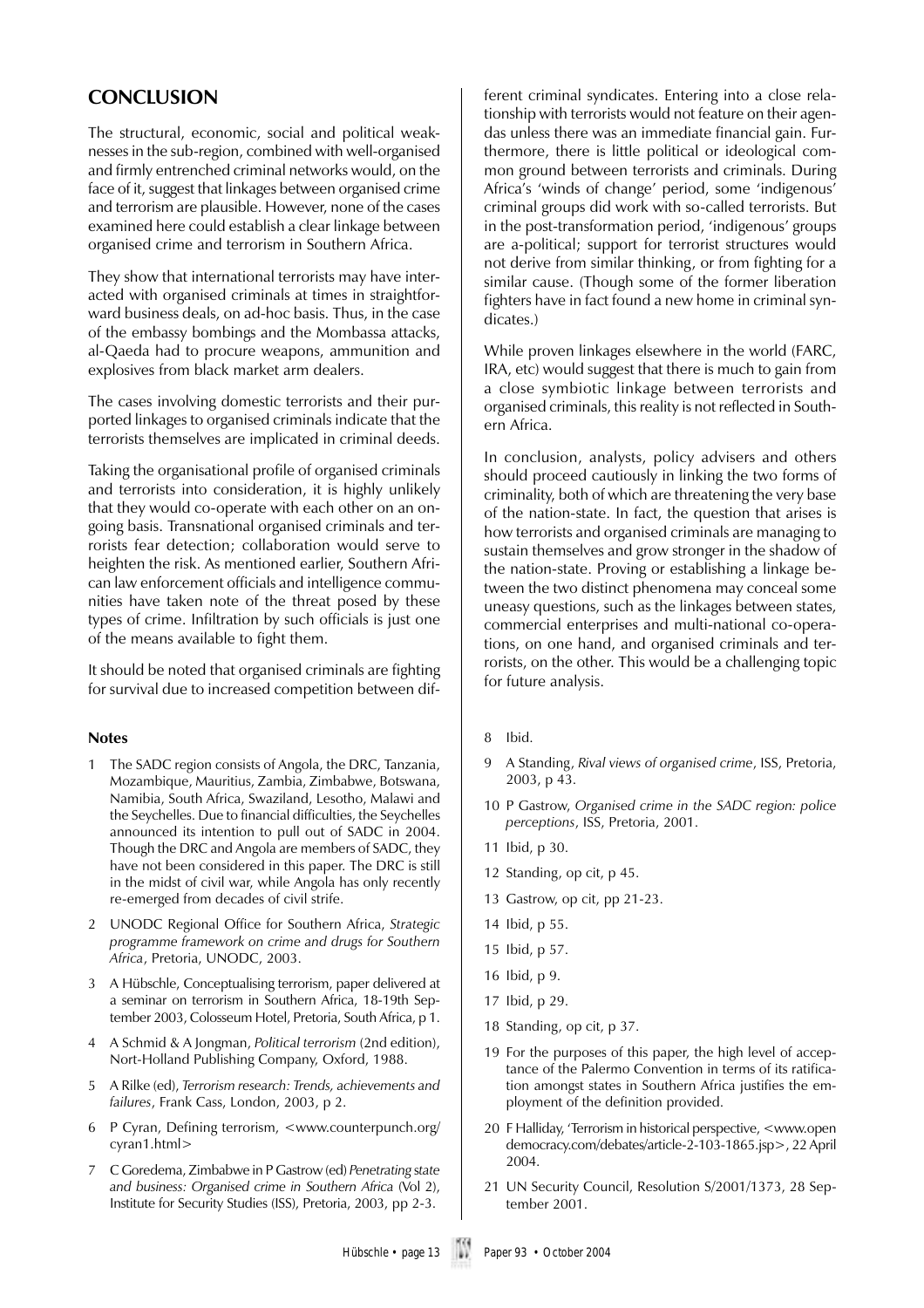## **CONCLUSION**

The structural, economic, social and political weaknesses in the sub-region, combined with well-organised and firmly entrenched criminal networks would, on the face of it, suggest that linkages between organised crime and terrorism are plausible. However, none of the cases examined here could establish a clear linkage between organised crime and terrorism in Southern Africa.

They show that international terrorists may have interacted with organised criminals at times in straightforward business deals, on ad-hoc basis. Thus, in the case of the embassy bombings and the Mombassa attacks, al-Qaeda had to procure weapons, ammunition and explosives from black market arm dealers.

The cases involving domestic terrorists and their purported linkages to organised criminals indicate that the terrorists themselves are implicated in criminal deeds.

Taking the organisational profile of organised criminals and terrorists into consideration, it is highly unlikely that they would co-operate with each other on an ongoing basis. Transnational organised criminals and terrorists fear detection; collaboration would serve to heighten the risk. As mentioned earlier, Southern African law enforcement officials and intelligence communities have taken note of the threat posed by these types of crime. Infiltration by such officials is just one of the means available to fight them.

It should be noted that organised criminals are fighting for survival due to increased competition between dif-

#### **Notes**

- 1 The SADC region consists of Angola, the DRC, Tanzania, Mozambique, Mauritius, Zambia, Zimbabwe, Botswana, Namibia, South Africa, Swaziland, Lesotho, Malawi and the Seychelles. Due to financial difficulties, the Seychelles announced its intention to pull out of SADC in 2004. Though the DRC and Angola are members of SADC, they have not been considered in this paper. The DRC is still in the midst of civil war, while Angola has only recently re-emerged from decades of civil strife.
- 2 UNODC Regional Office for Southern Africa, *Strategic programme framework on crime and drugs for Southern Africa*, Pretoria, UNODC, 2003.
- 3 A Hübschle, Conceptualising terrorism, paper delivered at a seminar on terrorism in Southern Africa, 18-19th September 2003, Colosseum Hotel, Pretoria, South Africa, p 1.
- 4 A Schmid & A Jongman, *Political terrorism* (2nd edition), Nort-Holland Publishing Company, Oxford, 1988.
- 5 A Rilke (ed), *Terrorism research: Trends, achievements and failures*, Frank Cass, London, 2003, p 2.
- 6 P Cyran, Defining terrorism, <www.counterpunch.org/ cyran1.html>
- 7 C Goredema, Zimbabwe in P Gastrow (ed) *Penetrating* s*tate and business: Organised crime in Southern Africa* (Vol 2), Institute for Security Studies (ISS), Pretoria, 2003, pp 2-3.

ferent criminal syndicates. Entering into a close relationship with terrorists would not feature on their agendas unless there was an immediate financial gain. Furthermore, there is little political or ideological common ground between terrorists and criminals. During Africa's 'winds of change' period, some 'indigenous' criminal groups did work with so-called terrorists. But in the post-transformation period, 'indigenous' groups are a-political; support for terrorist structures would not derive from similar thinking, or from fighting for a similar cause. (Though some of the former liberation fighters have in fact found a new home in criminal syndicates.)

While proven linkages elsewhere in the world (FARC, IRA, etc) would suggest that there is much to gain from a close symbiotic linkage between terrorists and organised criminals, this reality is not reflected in Southern Africa.

In conclusion, analysts, policy advisers and others should proceed cautiously in linking the two forms of criminality, both of which are threatening the very base of the nation-state. In fact, the question that arises is how terrorists and organised criminals are managing to sustain themselves and grow stronger in the shadow of the nation-state. Proving or establishing a linkage between the two distinct phenomena may conceal some uneasy questions, such as the linkages between states, commercial enterprises and multi-national co-operations, on one hand, and organised criminals and terrorists, on the other. This would be a challenging topic for future analysis.

- 8 Ibid.
- 9 A Standing, *Rival views of organised crime*, ISS, Pretoria, 2003, p 43.
- 10 P Gastrow, *Organised crime in the SADC region: police perceptions*, ISS, Pretoria, 2001.
- 11 Ibid, p 30.
- 12 Standing, op cit, p 45.
- 13 Gastrow, op cit, pp 21-23.
- 14 Ibid, p 55.
- 15 Ibid, p 57.
- 16 Ibid, p 9.
- 17 Ibid, p 29.
- 18 Standing, op cit, p 37.
- 19 For the purposes of this paper, the high level of acceptance of the Palermo Convention in terms of its ratification amongst states in Southern Africa justifies the employment of the definition provided.
- 20 F Halliday, 'Terrorism in historical perspective, <www.open democracy.com/debates/article-2-103-1865.jsp>, 22 April 2004.
- 21 UN Security Council, Resolution S/2001/1373, 28 September 2001.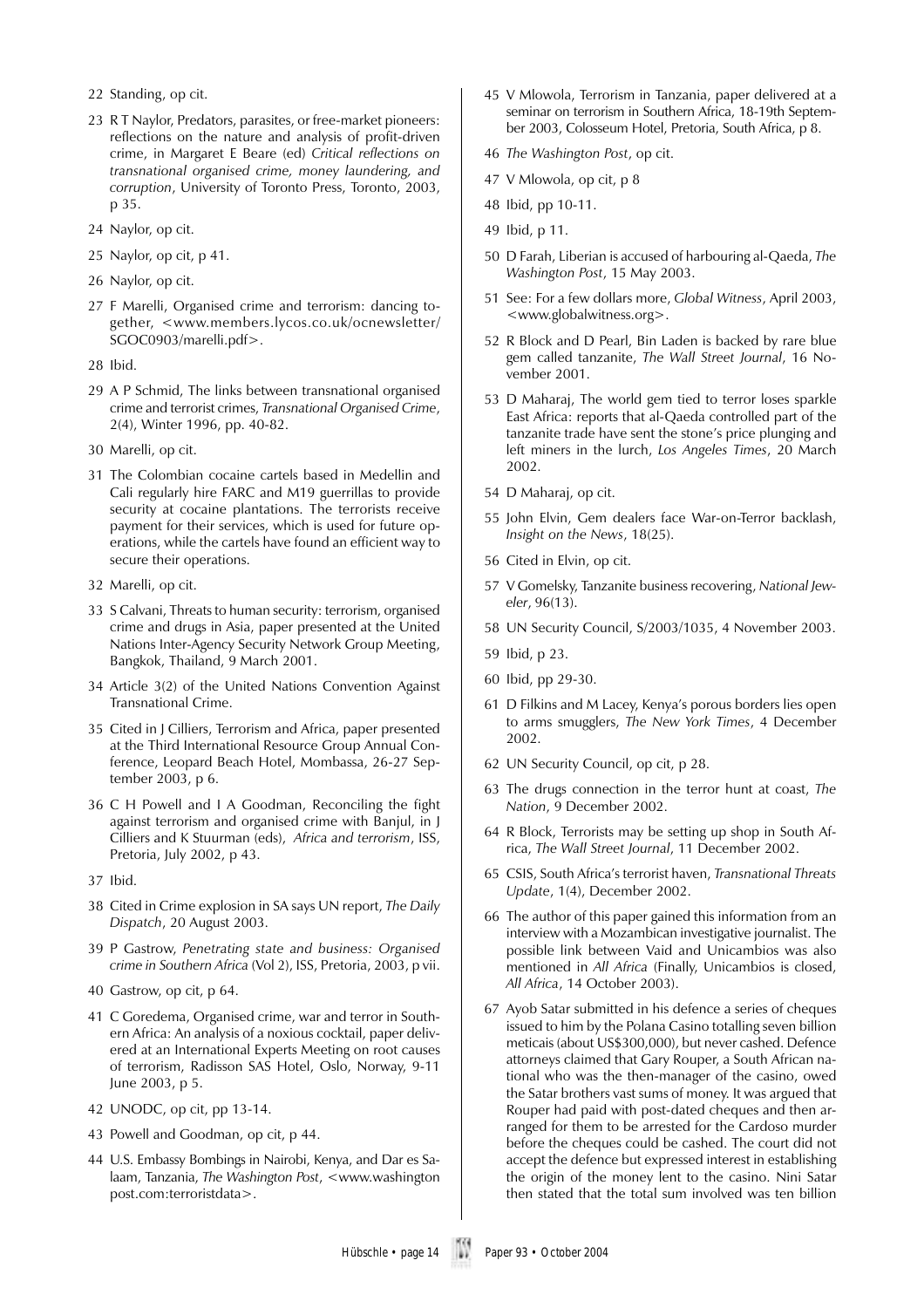22 Standing, op cit.

- 23 R T Naylor, Predators, parasites, or free-market pioneers: reflections on the nature and analysis of profit-driven crime, in Margaret E Beare (ed) *Critical reflections on transnational organised crime, money laundering, and corruption*, University of Toronto Press, Toronto, 2003, p 35.
- 24 Naylor, op cit.
- 25 Naylor, op cit, p 41.
- 26 Naylor, op cit.
- 27 F Marelli, Organised crime and terrorism: dancing together, <www.members.lycos.co.uk/ocnewsletter/ SGOC0903/marelli.pdf>.
- 28 Ibid.
- 29 A P Schmid, The links between transnational organised crime and terrorist crimes, *Transnational Organised Crime*, 2(4), Winter 1996, pp. 40-82.
- 30 Marelli, op cit.
- 31The Colombian cocaine cartels based in Medellin and Cali regularly hire FARC and M19 guerrillas to provide security at cocaine plantations. The terrorists receive payment for their services, which is used for future operations, while the cartels have found an efficient way to secure their operations.
- 32 Marelli, op cit.
- 33 S Calvani, Threats to human security: terrorism, organised crime and drugs in Asia, paper presented at the United Nations Inter-Agency Security Network Group Meeting, Bangkok, Thailand, 9 March 2001.
- 34 Article 3(2) of the United Nations Convention Against Transnational Crime.
- 35 Cited in J Cilliers, Terrorism and Africa, paper presented at the Third International Resource Group Annual Conference, Leopard Beach Hotel, Mombassa, 26-27 September 2003, p 6.
- 36 C H Powell and I A Goodman, Reconciling the fight against terrorism and organised crime with Banjul, in J Cilliers and K Stuurman (eds), *Africa and terrorism*, ISS, Pretoria, July 2002, p 43.
- 37 Ibid.
- 38 Cited in Crime explosion in SA says UN report, *The Daily Dispatch*, 20 August 2003.
- 39 P Gastrow, *Penetrating state and business: Organised crime in Southern Africa* (Vol 2), ISS, Pretoria, 2003, p vii.
- 40 Gastrow, op cit, p 64.
- 41C Goredema, Organised crime, war and terror in Southern Africa: An analysis of a noxious cocktail, paper delivered at an International Experts Meeting on root causes of terrorism, Radisson SAS Hotel, Oslo, Norway, 9-11 June 2003, p 5.
- 42 UNODC, op cit, pp 13-14.
- 43 Powell and Goodman, op cit, p 44.
- 44 U.S. Embassy Bombings in Nairobi, Kenya, and Dar es Salaam, Tanzania, *The Washington Post*, <www.washington post.com:terroristdata>.
- 45 V Mlowola, Terrorism in Tanzania, paper delivered at a seminar on terrorism in Southern Africa, 18-19th September 2003, Colosseum Hotel, Pretoria, South Africa, p 8.
- 46 *The Washington Post*, op cit.
- 47 V Mlowola, op cit, p 8
- 48 Ibid, pp 10-11.
- 49 Ibid, p 11.
- 50 D Farah, Liberian is accused of harbouring al-Qaeda, *The Washington Post*, 15 May 2003.
- 51 See: For a few dollars more, *Global Witness*, April 2003, <www.globalwitness.org>.
- 52 R Block and D Pearl, Bin Laden is backed by rare blue gem called tanzanite, *The Wall Street Journal*, 16 November 2001.
- 53 D Maharaj, The world gem tied to terror loses sparkle East Africa: reports that al-Qaeda controlled part of the tanzanite trade have sent the stone's price plunging and left miners in the lurch, *Los Angeles Times*, 20 March 2002.
- 54 D Maharaj, op cit.
- 55 John Elvin, Gem dealers face War-on-Terror backlash, *Insight on the News*, 18(25).
- 56 Cited in Elvin, op cit.
- 57 V Gomelsky, Tanzanite business recovering, *National Jeweler*, 96(13).
- 58 UN Security Council, S/2003/1035, 4 November 2003.
- 59 Ibid, p 23.
- 60 Ibid, pp 29-30.
- 61 D Filkins and M Lacey, Kenya's porous borders lies open to arms smugglers, *The New York Times*, 4 December 2002.
- 62 UN Security Council, op cit, p 28.
- 63 The drugs connection in the terror hunt at coast, *The Nation*, 9 December 2002.
- 64 R Block, Terrorists may be setting up shop in South Africa, *The Wall Street Journal*, 11 December 2002.
- 65 CSIS, South Africa's terrorist haven, *Transnational Threats Update*, 1(4), December 2002.
- 66 The author of this paper gained this information from an interview with a Mozambican investigative journalist. The possible link between Vaid and Unicambios was also mentioned in *All Africa* (Finally, Unicambios is closed, *All Africa*, 14 October 2003).
- 67 Ayob Satar submitted in his defence a series of cheques issued to him by the Polana Casino totalling seven billion meticais (about US\$300,000), but never cashed. Defence attorneys claimed that Gary Rouper, a South African national who was the then-manager of the casino, owed the Satar brothers vast sums of money. It was argued that Rouper had paid with post-dated cheques and then arranged for them to be arrested for the Cardoso murder before the cheques could be cashed. The court did not accept the defence but expressed interest in establishing the origin of the money lent to the casino. Nini Satar then stated that the total sum involved was ten billion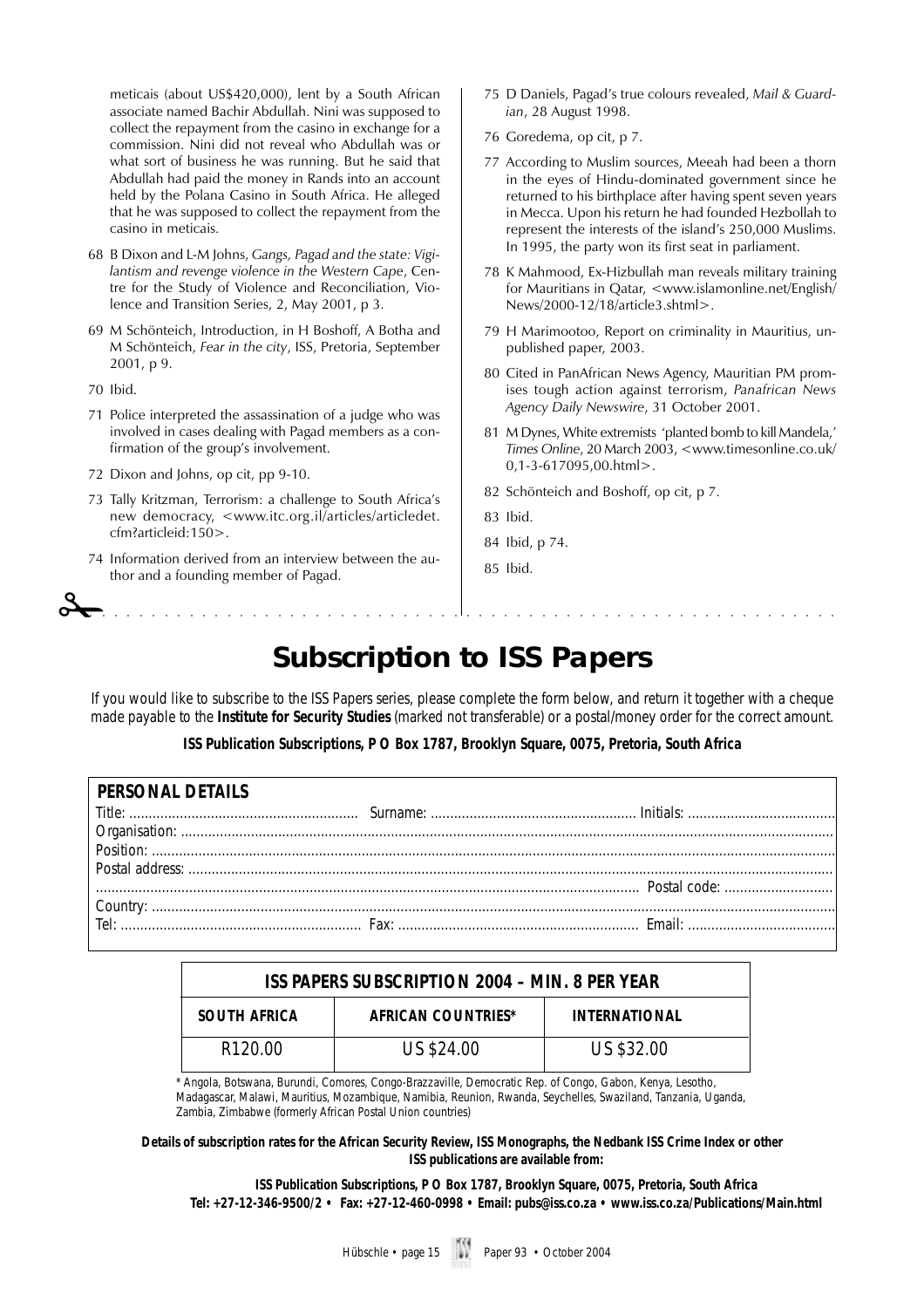meticais (about US\$420,000), lent by a South African associate named Bachir Abdullah. Nini was supposed to collect the repayment from the casino in exchange for a commission. Nini did not reveal who Abdullah was or what sort of business he was running. But he said that Abdullah had paid the money in Rands into an account held by the Polana Casino in South Africa. He alleged that he was supposed to collect the repayment from the casino in meticais.

- 68 B Dixon and L-M Johns, *Gangs, Pagad and the state: Vigilantism and revenge violence in the Western Cape*, Centre for the Study of Violence and Reconciliation, Violence and Transition Series, 2, May 2001, p 3.
- 69 M Schönteich, Introduction, in H Boshoff, A Botha and M Schönteich, *Fear in the city*, ISS, Pretoria, September 2001, p 9.
- 70 Ibid.
- 71 Police interpreted the assassination of a judge who was involved in cases dealing with Pagad members as a confirmation of the group's involvement.
- 72 Dixon and Johns, op cit, pp 9-10.
- 73 Tally Kritzman, Terrorism: a challenge to South Africa's new democracy, <www.itc.org.il/articles/articledet. cfm?articleid:150>.
- 74 Information derived from an interview between the author and a founding member of Pagad. ✁aaaaaaaaaaaaaaaaaaaaaaaaaaaaaaaaaaaaaaaaaaaaaaaaaaaaaaaaaaaa
- 75 D Daniels, Pagad's true colours revealed, *Mail & Guardian*, 28 August 1998.
- 76 Goredema, op cit, p 7.
- 77 According to Muslim sources, Meeah had been a thorn in the eyes of Hindu-dominated government since he returned to his birthplace after having spent seven years in Mecca. Upon his return he had founded Hezbollah to represent the interests of the island's 250,000 Muslims. In 1995, the party won its first seat in parliament.
- 78 K Mahmood, Ex-Hizbullah man reveals military training for Mauritians in Qatar, <www.islamonline.net/English/ News/2000-12/18/article3.shtml>.
- 79 H Marimootoo, Report on criminality in Mauritius, unpublished paper, 2003.
- 80 Cited in PanAfrican News Agency, Mauritian PM promises tough action against terrorism, *Panafrican News Agency Daily Newswire*, 31 October 2001.
- 81 M Dynes, White extremists 'planted bomb to kill Mandela,' *Times Online*, 20 March 2003, <www.timesonline.co.uk/ 0,1-3-617095,00.html>.
- 82 Schönteich and Boshoff, op cit, p 7.
- 83 Ibid.
- 84 Ibid, p 74.
- 85 Ibid.

## **Subscription to ISS Papers**

If you would like to subscribe to the ISS Papers series, please complete the form below, and return it together with a cheque made payable to the **Institute for Security Studies** (marked not transferable) or a postal/money order for the correct amount.

**ISS Publication Subscriptions, P O Box 1787, Brooklyn Square, 0075, Pretoria, South Africa**

| PERSONAL DETAILS |  |
|------------------|--|
|                  |  |
|                  |  |
|                  |  |
|                  |  |
|                  |  |
|                  |  |
|                  |  |
|                  |  |

| ISS PAPERS SUBSCRIPTION 2004 - MIN. 8 PER YEAR |                    |                      |  |
|------------------------------------------------|--------------------|----------------------|--|
| <b>SOUTH AFRICA</b>                            | AFRICAN COUNTRIES* | <b>INTERNATIONAL</b> |  |
| R <sub>120.00</sub>                            | US \$24.00         | US \$32.00           |  |

\* Angola, Botswana, Burundi, Comores, Congo-Brazzaville, Democratic Rep. of Congo, Gabon, Kenya, Lesotho, Madagascar, Malawi, Mauritius, Mozambique, Namibia, Reunion, Rwanda, Seychelles, Swaziland, Tanzania, Uganda, Zambia, Zimbabwe (formerly African Postal Union countries)

**Details of subscription rates for the African Security Review, ISS Monographs, the Nedbank ISS Crime Index or other ISS publications are available from:**

**ISS Publication Subscriptions, P O Box 1787, Brooklyn Square, 0075, Pretoria, South Africa Tel: +27-12-346-9500/2 • Fax: +27-12-460-0998 • Email: pubs@iss.co.za • www.iss.co.za/Publications/Main.html**